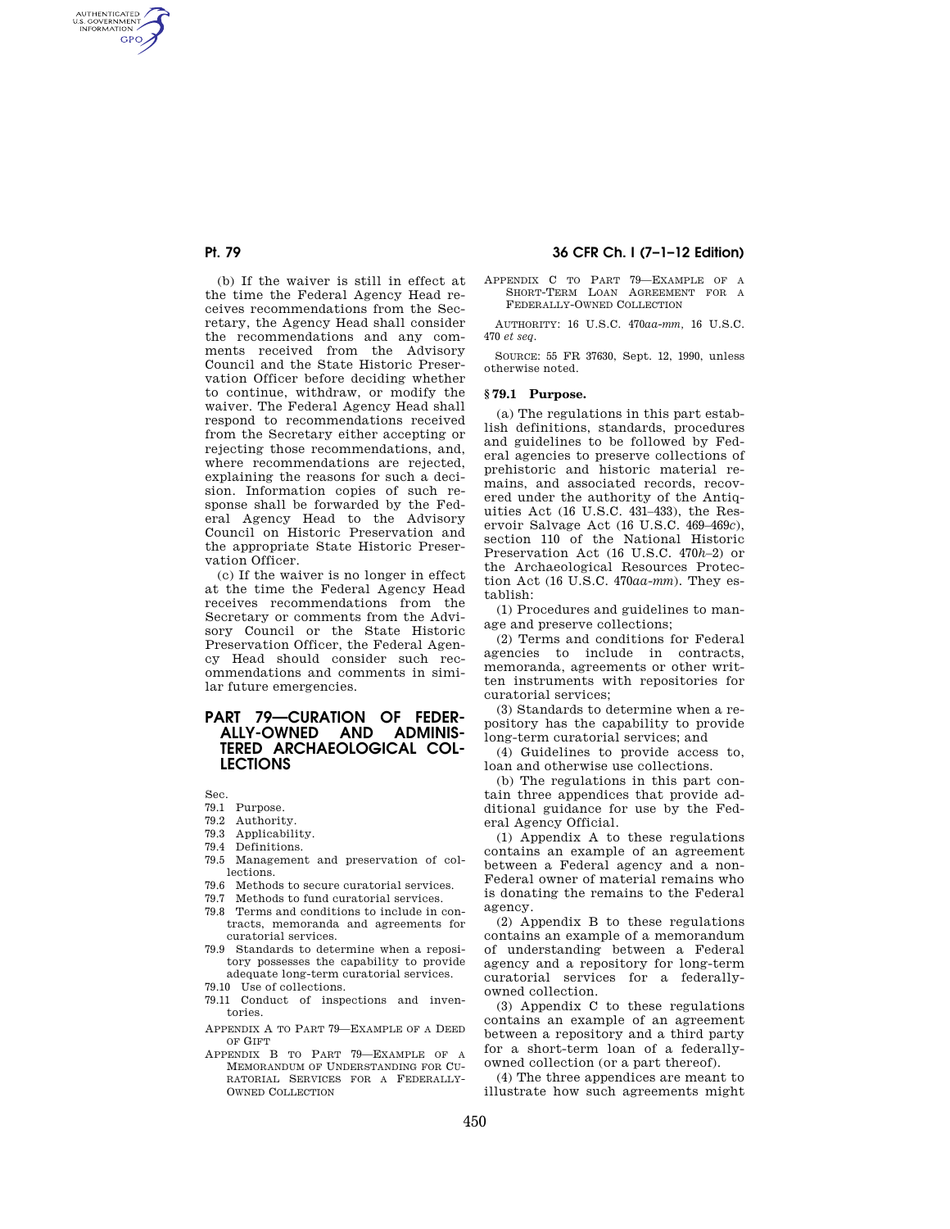AUTHENTICATED<br>U.S. GOVERNMENT<br>INFORMATION **GPO** 

> (b) If the waiver is still in effect at the time the Federal Agency Head receives recommendations from the Secretary, the Agency Head shall consider the recommendations and any comments received from the Advisory Council and the State Historic Preservation Officer before deciding whether to continue, withdraw, or modify the waiver. The Federal Agency Head shall respond to recommendations received from the Secretary either accepting or rejecting those recommendations, and where recommendations are rejected, explaining the reasons for such a decision. Information copies of such response shall be forwarded by the Federal Agency Head to the Advisory Council on Historic Preservation and the appropriate State Historic Preservation Officer.

> (c) If the waiver is no longer in effect at the time the Federal Agency Head receives recommendations from the Secretary or comments from the Advisory Council or the State Historic Preservation Officer, the Federal Agency Head should consider such recommendations and comments in similar future emergencies.

## **PART 79—CURATION OF FEDER-ALLY-OWNED AND TERED ARCHAEOLOGICAL COL-LECTIONS**

Sec.

- 79.1 Purpose.
- 79.2 Authority.
- 79.3 Applicability.
- 79.4 Definitions.
- 79.5 Management and preservation of collections.
- 79.6 Methods to secure curatorial services.
- 79.7 Methods to fund curatorial services.
- 79.8 Terms and conditions to include in contracts, memoranda and agreements for curatorial services.
- 79.9 Standards to determine when a repository possesses the capability to provide adequate long-term curatorial services.
- 79.10 Use of collections.
- 79.11 Conduct of inspections and inventories.
- APPENDIX A TO PART 79—EXAMPLE OF A DEED OF GIFT
- APPENDIX B TO PART 79—EXAMPLE OF A MEMORANDUM OF UNDERSTANDING FOR CU-RATORIAL SERVICES FOR A FEDERALLY-OWNED COLLECTION

# **Pt. 79 36 CFR Ch. I (7–1–12 Edition)**

APPENDIX C TO PART 79—EXAMPLE OF A SHORT-TERM LOAN AGREEMENT FOR A FEDERALLY-OWNED COLLECTION

AUTHORITY: 16 U.S.C. 470*aa-mm,* 16 U.S.C. 470 *et seq.* 

SOURCE: 55 FR 37630, Sept. 12, 1990, unless otherwise noted.

#### **§ 79.1 Purpose.**

(a) The regulations in this part establish definitions, standards, procedures and guidelines to be followed by Federal agencies to preserve collections of prehistoric and historic material remains, and associated records, recovered under the authority of the Antiquities Act (16 U.S.C. 431–433), the Reservoir Salvage Act (16 U.S.C. 469–469*c*), section 110 of the National Historic Preservation Act (16 U.S.C. 470*h*–2) or the Archaeological Resources Protection Act (16 U.S.C. 470*aa-mm*). They establish:

(1) Procedures and guidelines to manage and preserve collections;

(2) Terms and conditions for Federal agencies to include in contracts, memoranda, agreements or other written instruments with repositories for curatorial services;

(3) Standards to determine when a repository has the capability to provide long-term curatorial services; and

(4) Guidelines to provide access to, loan and otherwise use collections.

(b) The regulations in this part contain three appendices that provide additional guidance for use by the Federal Agency Official.

(1) Appendix A to these regulations contains an example of an agreement between a Federal agency and a non-Federal owner of material remains who is donating the remains to the Federal agency.

(2) Appendix B to these regulations contains an example of a memorandum of understanding between a Federal agency and a repository for long-term curatorial services for a federallyowned collection.

(3) Appendix C to these regulations contains an example of an agreement between a repository and a third party for a short-term loan of a federallyowned collection (or a part thereof).

(4) The three appendices are meant to illustrate how such agreements might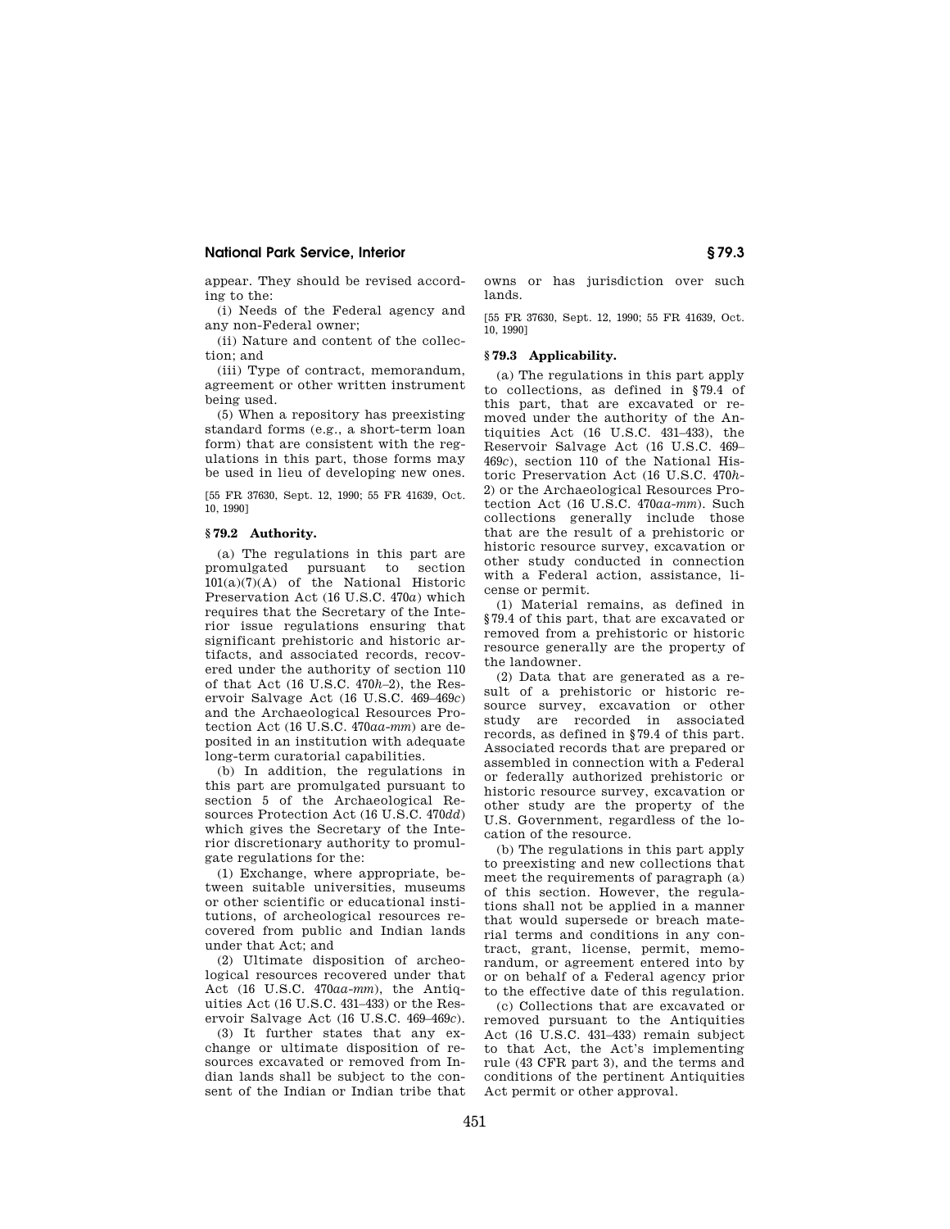appear. They should be revised according to the:

(i) Needs of the Federal agency and any non-Federal owner;

(ii) Nature and content of the collection; and

(iii) Type of contract, memorandum, agreement or other written instrument being used.

(5) When a repository has preexisting standard forms (e.g., a short-term loan form) that are consistent with the regulations in this part, those forms may be used in lieu of developing new ones.

[55 FR 37630, Sept. 12, 1990; 55 FR 41639, Oct. 10, 1990]

## **§ 79.2 Authority.**

(a) The regulations in this part are promulgated pursuant to section  $101(a)(7)(A)$  of the National Historic Preservation Act (16 U.S.C. 470*a*) which requires that the Secretary of the Interior issue regulations ensuring that significant prehistoric and historic artifacts, and associated records, recovered under the authority of section 110 of that Act (16 U.S.C. 470*h*–2), the Reservoir Salvage Act (16 U.S.C. 469–469*c*) and the Archaeological Resources Protection Act (16 U.S.C. 470*aa-mm*) are deposited in an institution with adequate long-term curatorial capabilities.

(b) In addition, the regulations in this part are promulgated pursuant to section 5 of the Archaeological Resources Protection Act (16 U.S.C. 470*dd*) which gives the Secretary of the Interior discretionary authority to promulgate regulations for the:

(1) Exchange, where appropriate, between suitable universities, museums or other scientific or educational institutions, of archeological resources recovered from public and Indian lands under that Act; and

(2) Ultimate disposition of archeological resources recovered under that Act (16 U.S.C. 470*aa-mm*), the Antiquities Act (16 U.S.C. 431–433) or the Reservoir Salvage Act (16 U.S.C. 469–469*c*).

(3) It further states that any exchange or ultimate disposition of resources excavated or removed from Indian lands shall be subject to the consent of the Indian or Indian tribe that owns or has jurisdiction over such lands.

[55 FR 37630, Sept. 12, 1990; 55 FR 41639, Oct. 10, 1990]

### **§ 79.3 Applicability.**

(a) The regulations in this part apply to collections, as defined in §79.4 of this part, that are excavated or removed under the authority of the Antiquities Act (16 U.S.C. 431–433), the Reservoir Salvage Act (16 U.S.C. 469– 469*c*), section 110 of the National Historic Preservation Act (16 U.S.C. 470*h*-2) or the Archaeological Resources Protection Act (16 U.S.C. 470*aa-mm*). Such collections generally include those that are the result of a prehistoric or historic resource survey, excavation or other study conducted in connection with a Federal action, assistance, license or permit.

(1) Material remains, as defined in §79.4 of this part, that are excavated or removed from a prehistoric or historic resource generally are the property of the landowner.

(2) Data that are generated as a result of a prehistoric or historic resource survey, excavation or other study are recorded in associated records, as defined in §79.4 of this part. Associated records that are prepared or assembled in connection with a Federal or federally authorized prehistoric or historic resource survey, excavation or other study are the property of the U.S. Government, regardless of the location of the resource.

(b) The regulations in this part apply to preexisting and new collections that meet the requirements of paragraph (a) of this section. However, the regulations shall not be applied in a manner that would supersede or breach material terms and conditions in any contract, grant, license, permit, memorandum, or agreement entered into by or on behalf of a Federal agency prior to the effective date of this regulation.

(c) Collections that are excavated or removed pursuant to the Antiquities Act (16 U.S.C. 431–433) remain subject to that Act, the Act's implementing rule (43 CFR part 3), and the terms and conditions of the pertinent Antiquities Act permit or other approval.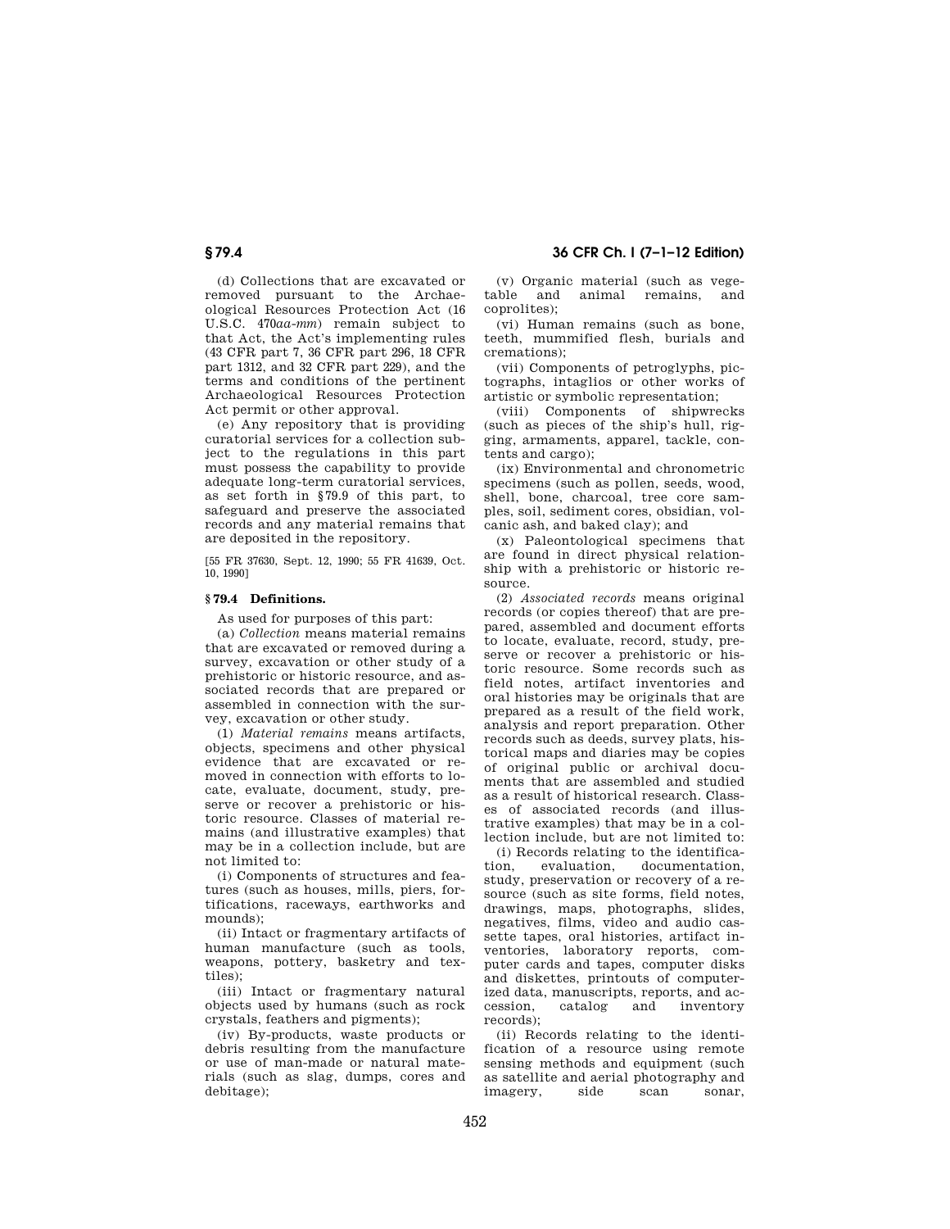# **§ 79.4 36 CFR Ch. I (7–1–12 Edition)**

(d) Collections that are excavated or removed pursuant to the Archaeological Resources Protection Act (16 U.S.C. 470*aa-mm*) remain subject to that Act, the Act's implementing rules (43 CFR part 7, 36 CFR part 296, 18 CFR part 1312, and 32 CFR part 229), and the terms and conditions of the pertinent Archaeological Resources Protection Act permit or other approval.

(e) Any repository that is providing curatorial services for a collection subject to the regulations in this part must possess the capability to provide adequate long-term curatorial services, as set forth in §79.9 of this part, to safeguard and preserve the associated records and any material remains that are deposited in the repository.

[55 FR 37630, Sept. 12, 1990; 55 FR 41639, Oct. 10, 1990]

## **§ 79.4 Definitions.**

As used for purposes of this part:

(a) *Collection* means material remains that are excavated or removed during a survey, excavation or other study of a prehistoric or historic resource, and associated records that are prepared or assembled in connection with the survey, excavation or other study.

(1) *Material remains* means artifacts, objects, specimens and other physical evidence that are excavated or removed in connection with efforts to locate, evaluate, document, study, preserve or recover a prehistoric or historic resource. Classes of material remains (and illustrative examples) that may be in a collection include, but are not limited to:

(i) Components of structures and features (such as houses, mills, piers, fortifications, raceways, earthworks and mounds);

(ii) Intact or fragmentary artifacts of human manufacture (such as tools, weapons, pottery, basketry and textiles);

(iii) Intact or fragmentary natural objects used by humans (such as rock crystals, feathers and pigments);

(iv) By-products, waste products or debris resulting from the manufacture or use of man-made or natural materials (such as slag, dumps, cores and debitage);

(v) Organic material (such as vegetable and animal remains, and coprolites);

(vi) Human remains (such as bone, teeth, mummified flesh, burials and cremations);

(vii) Components of petroglyphs, pictographs, intaglios or other works of artistic or symbolic representation;

(viii) Components of shipwrecks (such as pieces of the ship's hull, rigging, armaments, apparel, tackle, contents and cargo);

(ix) Environmental and chronometric specimens (such as pollen, seeds, wood, shell, bone, charcoal, tree core samples, soil, sediment cores, obsidian, volcanic ash, and baked clay); and

(x) Paleontological specimens that are found in direct physical relationship with a prehistoric or historic resource.

(2) *Associated records* means original records (or copies thereof) that are prepared, assembled and document efforts to locate, evaluate, record, study, preserve or recover a prehistoric or historic resource. Some records such as field notes, artifact inventories and oral histories may be originals that are prepared as a result of the field work, analysis and report preparation. Other records such as deeds, survey plats, historical maps and diaries may be copies of original public or archival documents that are assembled and studied as a result of historical research. Classes of associated records (and illustrative examples) that may be in a collection include, but are not limited to:

(i) Records relating to the identification, evaluation, documentation, study, preservation or recovery of a resource (such as site forms, field notes, drawings, maps, photographs, slides, negatives, films, video and audio cassette tapes, oral histories, artifact inventories, laboratory reports, computer cards and tapes, computer disks and diskettes, printouts of computerized data, manuscripts, reports, and accession, catalog and inventory records);

(ii) Records relating to the identification of a resource using remote sensing methods and equipment (such as satellite and aerial photography and<br>imagery side scan sonar imagery, side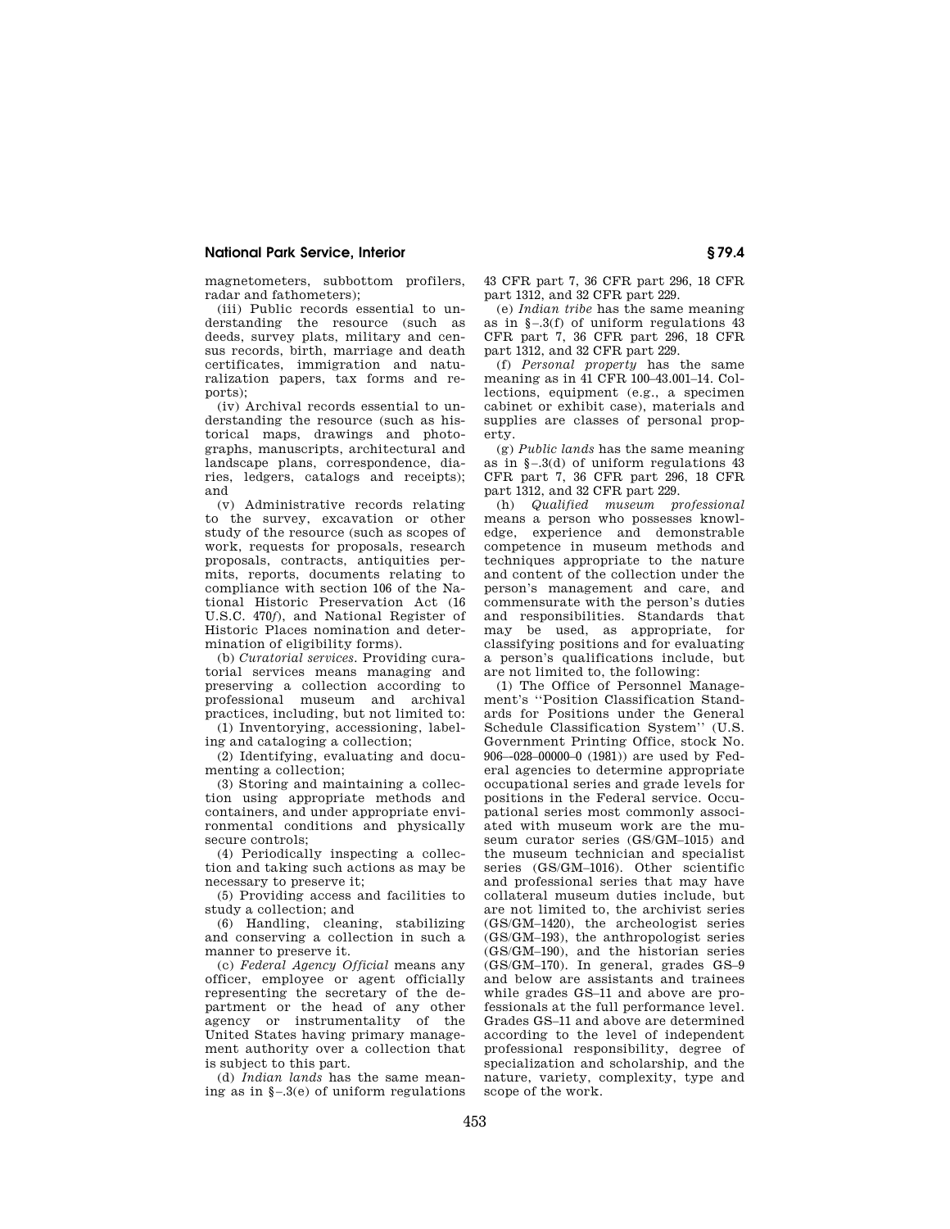magnetometers, subbottom profilers, radar and fathometers);

(iii) Public records essential to understanding the resource (such as deeds, survey plats, military and census records, birth, marriage and death certificates, immigration and naturalization papers, tax forms and reports);

(iv) Archival records essential to understanding the resource (such as historical maps, drawings and photographs, manuscripts, architectural and landscape plans, correspondence, diaries, ledgers, catalogs and receipts); and

(v) Administrative records relating to the survey, excavation or other study of the resource (such as scopes of work, requests for proposals, research proposals, contracts, antiquities permits, reports, documents relating to compliance with section 106 of the National Historic Preservation Act (16 U.S.C. 470*f*), and National Register of Historic Places nomination and determination of eligibility forms).

(b) *Curatorial services.* Providing curatorial services means managing and preserving a collection according to professional museum and archival practices, including, but not limited to:

(1) Inventorying, accessioning, labeling and cataloging a collection;

(2) Identifying, evaluating and documenting a collection;

(3) Storing and maintaining a collection using appropriate methods and containers, and under appropriate environmental conditions and physically secure controls;

(4) Periodically inspecting a collection and taking such actions as may be necessary to preserve it;

(5) Providing access and facilities to study a collection; and

(6) Handling, cleaning, stabilizing and conserving a collection in such a manner to preserve it.

(c) *Federal Agency Official* means any officer, employee or agent officially representing the secretary of the department or the head of any other agency or instrumentality of the United States having primary management authority over a collection that is subject to this part.

(d) *Indian lands* has the same meaning as in  $\S -3(e)$  of uniform regulations 43 CFR part 7, 36 CFR part 296, 18 CFR part 1312, and 32 CFR part 229.

(e) *Indian tribe* has the same meaning as in  $\S -3(f)$  of uniform regulations 43 CFR part 7, 36 CFR part 296, 18 CFR part 1312, and 32 CFR part 229.

(f) *Personal property* has the same meaning as in 41 CFR 100–43.001–14. Collections, equipment (e.g., a specimen cabinet or exhibit case), materials and supplies are classes of personal property.

(g) *Public lands* has the same meaning as in §–.3(d) of uniform regulations 43 CFR part 7, 36 CFR part 296, 18 CFR part 1312, and 32 CFR part 229.

(h) *Qualified museum professional*  means a person who possesses knowledge, experience and demonstrable competence in museum methods and techniques appropriate to the nature and content of the collection under the person's management and care, and commensurate with the person's duties and responsibilities. Standards that may be used, as appropriate, for classifying positions and for evaluating a person's qualifications include, but are not limited to, the following:

(1) The Office of Personnel Management's ''Position Classification Standards for Positions under the General Schedule Classification System'' (U.S. Government Printing Office, stock No. 906–-028–00000–0 (1981)) are used by Federal agencies to determine appropriate occupational series and grade levels for positions in the Federal service. Occupational series most commonly associated with museum work are the museum curator series (GS/GM–1015) and the museum technician and specialist series (GS/GM–1016). Other scientific and professional series that may have collateral museum duties include, but are not limited to, the archivist series (GS/GM–1420), the archeologist series (GS/GM–193), the anthropologist series (GS/GM–190), and the historian series (GS/GM–170). In general, grades GS–9 and below are assistants and trainees while grades GS–11 and above are professionals at the full performance level. Grades GS–11 and above are determined according to the level of independent professional responsibility, degree of specialization and scholarship, and the nature, variety, complexity, type and scope of the work.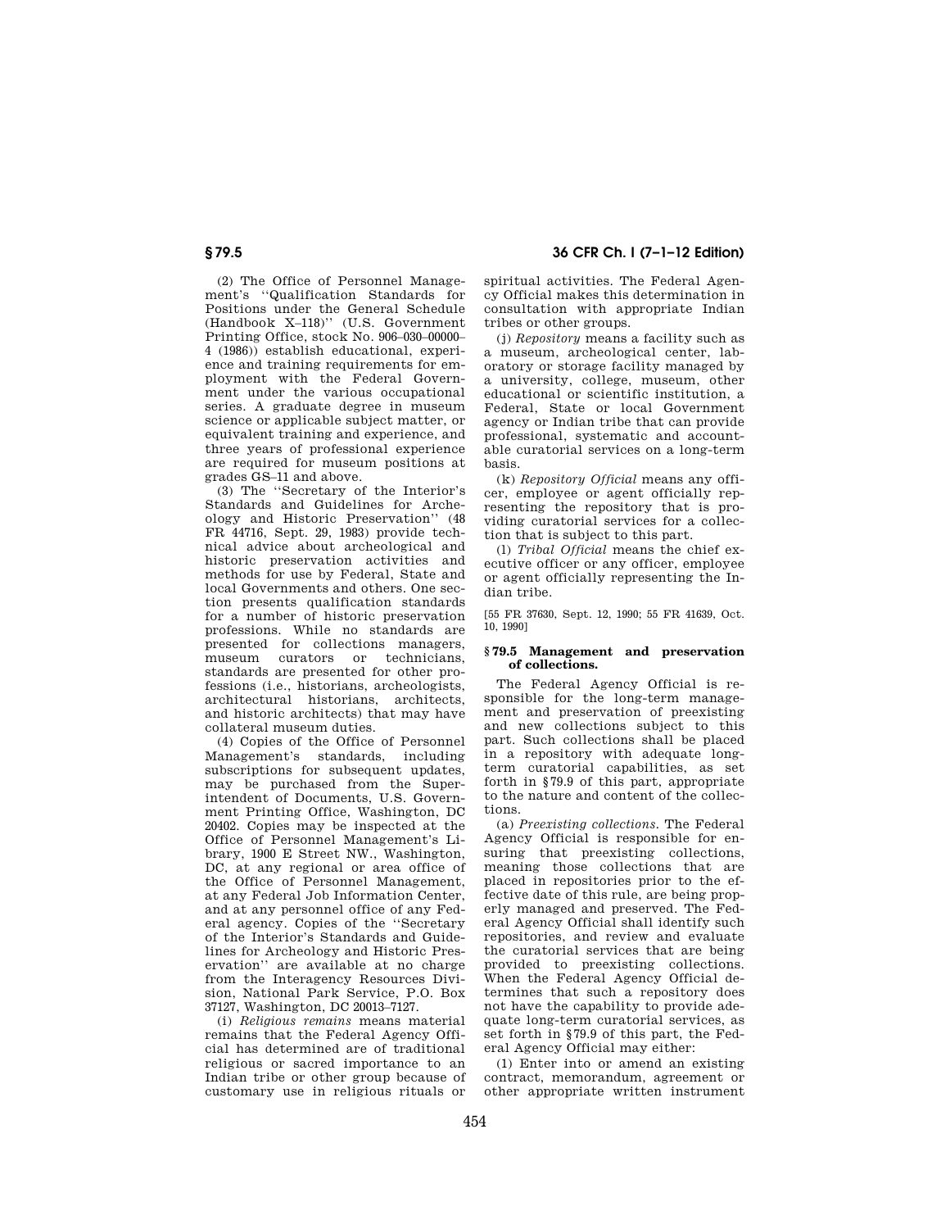(2) The Office of Personnel Management's ''Qualification Standards for Positions under the General Schedule (Handbook X–118)'' (U.S. Government Printing Office, stock No. 906–030–00000– 4 (1986)) establish educational, experience and training requirements for employment with the Federal Government under the various occupational series. A graduate degree in museum science or applicable subject matter, or equivalent training and experience, and three years of professional experience are required for museum positions at grades GS–11 and above.

(3) The ''Secretary of the Interior's Standards and Guidelines for Archeology and Historic Preservation'' (48 FR 44716, Sept. 29, 1983) provide technical advice about archeological and historic preservation activities and methods for use by Federal, State and local Governments and others. One section presents qualification standards for a number of historic preservation professions. While no standards are presented for collections managers, museum curators or technicians, standards are presented for other professions (i.e., historians, archeologists, architectural historians, architects, and historic architects) that may have collateral museum duties.

(4) Copies of the Office of Personnel Management's standards, including subscriptions for subsequent updates, may be purchased from the Superintendent of Documents, U.S. Government Printing Office, Washington, DC 20402. Copies may be inspected at the Office of Personnel Management's Library, 1900 E Street NW., Washington, DC, at any regional or area office of the Office of Personnel Management, at any Federal Job Information Center, and at any personnel office of any Federal agency. Copies of the ''Secretary of the Interior's Standards and Guidelines for Archeology and Historic Preservation'' are available at no charge from the Interagency Resources Division, National Park Service, P.O. Box 37127, Washington, DC 20013–7127.

(i) *Religious remains* means material remains that the Federal Agency Official has determined are of traditional religious or sacred importance to an Indian tribe or other group because of customary use in religious rituals or

**§ 79.5 36 CFR Ch. I (7–1–12 Edition)** 

spiritual activities. The Federal Agency Official makes this determination in consultation with appropriate Indian tribes or other groups.

(j) *Repository* means a facility such as a museum, archeological center, laboratory or storage facility managed by a university, college, museum, other educational or scientific institution, a Federal, State or local Government agency or Indian tribe that can provide professional, systematic and accountable curatorial services on a long-term basis.

(k) *Repository Official* means any officer, employee or agent officially representing the repository that is providing curatorial services for a collection that is subject to this part.

(l) *Tribal Official* means the chief executive officer or any officer, employee or agent officially representing the Indian tribe.

[55 FR 37630, Sept. 12, 1990; 55 FR 41639, Oct. 10, 1990]

### **§ 79.5 Management and preservation of collections.**

The Federal Agency Official is responsible for the long-term management and preservation of preexisting and new collections subject to this part. Such collections shall be placed in a repository with adequate longterm curatorial capabilities, as set forth in §79.9 of this part, appropriate to the nature and content of the collections.

(a) *Preexisting collections.* The Federal Agency Official is responsible for ensuring that preexisting collections, meaning those collections that are placed in repositories prior to the effective date of this rule, are being properly managed and preserved. The Federal Agency Official shall identify such repositories, and review and evaluate the curatorial services that are being provided to preexisting collections. When the Federal Agency Official determines that such a repository does not have the capability to provide adequate long-term curatorial services, as set forth in §79.9 of this part, the Federal Agency Official may either:

(1) Enter into or amend an existing contract, memorandum, agreement or other appropriate written instrument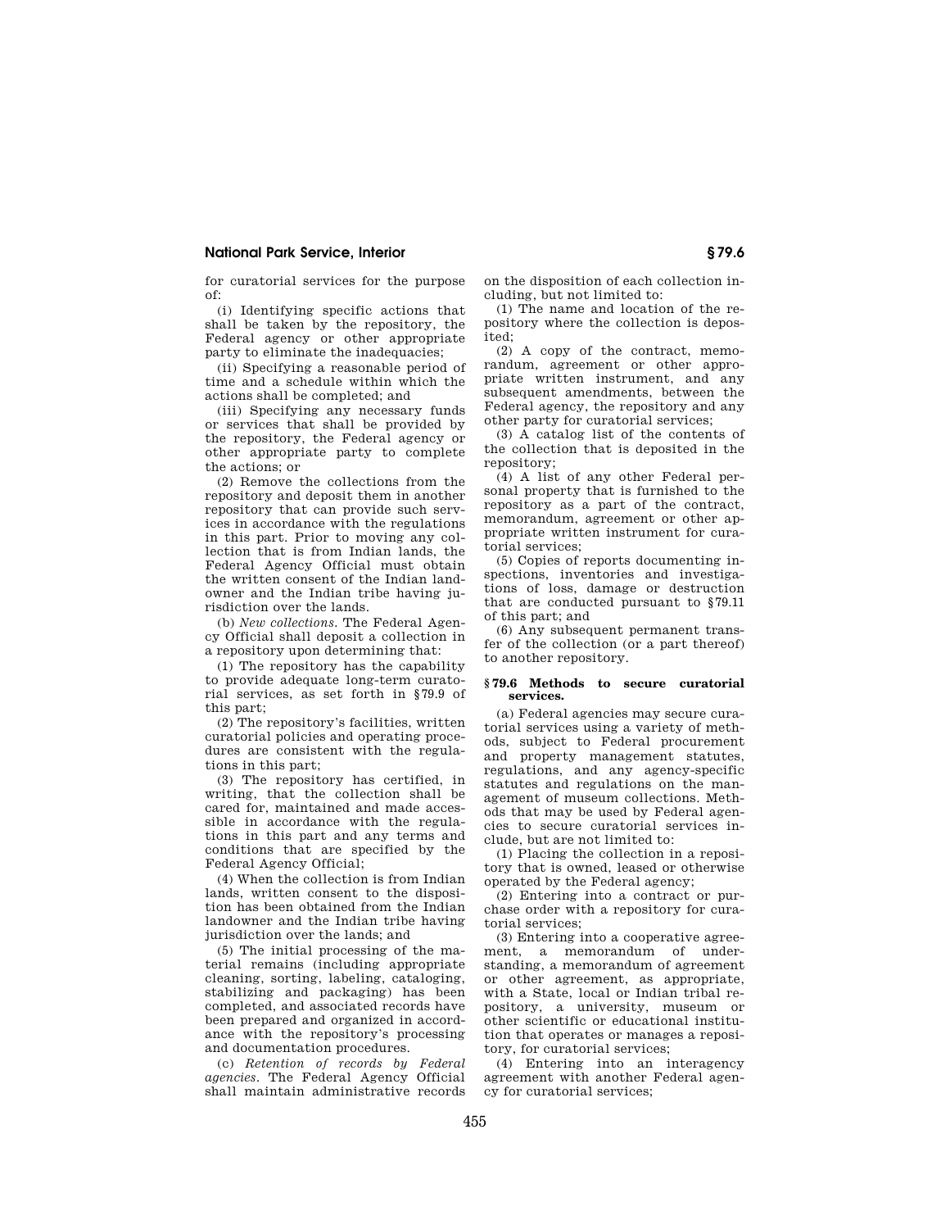for curatorial services for the purpose of:

(i) Identifying specific actions that shall be taken by the repository, the Federal agency or other appropriate party to eliminate the inadequacies;

(ii) Specifying a reasonable period of time and a schedule within which the actions shall be completed; and

(iii) Specifying any necessary funds or services that shall be provided by the repository, the Federal agency or other appropriate party to complete the actions; or

(2) Remove the collections from the repository and deposit them in another repository that can provide such services in accordance with the regulations in this part. Prior to moving any collection that is from Indian lands, the Federal Agency Official must obtain the written consent of the Indian landowner and the Indian tribe having jurisdiction over the lands.

(b) *New collections.* The Federal Agency Official shall deposit a collection in a repository upon determining that:

(1) The repository has the capability to provide adequate long-term curatorial services, as set forth in §79.9 of this part;

(2) The repository's facilities, written curatorial policies and operating procedures are consistent with the regulations in this part;

(3) The repository has certified, in writing, that the collection shall be cared for, maintained and made accessible in accordance with the regulations in this part and any terms and conditions that are specified by the Federal Agency Official;

(4) When the collection is from Indian lands, written consent to the disposition has been obtained from the Indian landowner and the Indian tribe having jurisdiction over the lands; and

(5) The initial processing of the material remains (including appropriate cleaning, sorting, labeling, cataloging, stabilizing and packaging) has been completed, and associated records have been prepared and organized in accordance with the repository's processing and documentation procedures.

(c) *Retention of records by Federal agencies.* The Federal Agency Official shall maintain administrative records on the disposition of each collection including, but not limited to:

(1) The name and location of the repository where the collection is deposited;

(2) A copy of the contract, memorandum, agreement or other appropriate written instrument, and any subsequent amendments, between the Federal agency, the repository and any other party for curatorial services;

(3) A catalog list of the contents of the collection that is deposited in the repository;

(4) A list of any other Federal personal property that is furnished to the repository as a part of the contract, memorandum, agreement or other appropriate written instrument for curatorial services;

(5) Copies of reports documenting inspections, inventories and investigations of loss, damage or destruction that are conducted pursuant to §79.11 of this part; and

(6) Any subsequent permanent transfer of the collection (or a part thereof) to another repository.

#### **§ 79.6 Methods to secure curatorial services.**

(a) Federal agencies may secure curatorial services using a variety of methods, subject to Federal procurement and property management statutes, regulations, and any agency-specific statutes and regulations on the management of museum collections. Methods that may be used by Federal agencies to secure curatorial services include, but are not limited to:

(1) Placing the collection in a repository that is owned, leased or otherwise operated by the Federal agency;

(2) Entering into a contract or purchase order with a repository for curatorial services;

(3) Entering into a cooperative agreement, a memorandum of understanding, a memorandum of agreement or other agreement, as appropriate, with a State, local or Indian tribal repository, a university, museum or other scientific or educational institution that operates or manages a repository, for curatorial services;

(4) Entering into an interagency agreement with another Federal agency for curatorial services;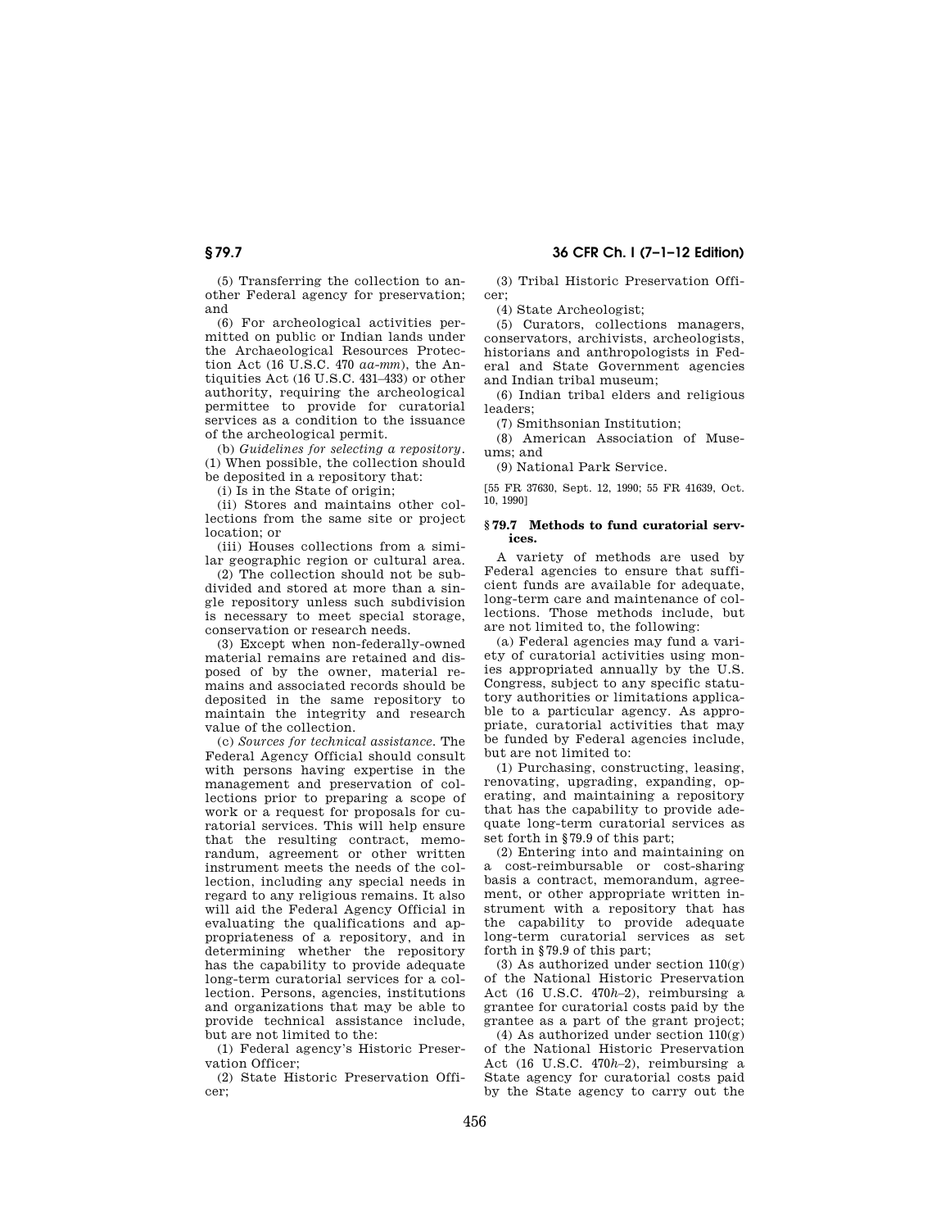(5) Transferring the collection to another Federal agency for preservation; and

(6) For archeological activities permitted on public or Indian lands under the Archaeological Resources Protection Act (16 U.S.C. 470 *aa-mm*), the Antiquities Act (16 U.S.C. 431–433) or other authority, requiring the archeological permittee to provide for curatorial services as a condition to the issuance of the archeological permit.

(b) *Guidelines for selecting a repository.*  (1) When possible, the collection should be deposited in a repository that:

(i) Is in the State of origin;

(ii) Stores and maintains other collections from the same site or project location; or

(iii) Houses collections from a similar geographic region or cultural area.

(2) The collection should not be subdivided and stored at more than a single repository unless such subdivision is necessary to meet special storage, conservation or research needs.

(3) Except when non-federally-owned material remains are retained and disposed of by the owner, material remains and associated records should be deposited in the same repository to maintain the integrity and research value of the collection.

(c) *Sources for technical assistance.* The Federal Agency Official should consult with persons having expertise in the management and preservation of collections prior to preparing a scope of work or a request for proposals for curatorial services. This will help ensure that the resulting contract, memorandum, agreement or other written instrument meets the needs of the collection, including any special needs in regard to any religious remains. It also will aid the Federal Agency Official in evaluating the qualifications and appropriateness of a repository, and in determining whether the repository has the capability to provide adequate long-term curatorial services for a collection. Persons, agencies, institutions and organizations that may be able to provide technical assistance include, but are not limited to the:

(1) Federal agency's Historic Preservation Officer;

(2) State Historic Preservation Officer;

(3) Tribal Historic Preservation Officer;

(4) State Archeologist;

(5) Curators, collections managers, conservators, archivists, archeologists, historians and anthropologists in Federal and State Government agencies and Indian tribal museum;

(6) Indian tribal elders and religious leaders;

(7) Smithsonian Institution;

(8) American Association of Museums; and

(9) National Park Service.

[55 FR 37630, Sept. 12, 1990; 55 FR 41639, Oct. 10, 1990]

#### **§ 79.7 Methods to fund curatorial services.**

A variety of methods are used by Federal agencies to ensure that sufficient funds are available for adequate, long-term care and maintenance of collections. Those methods include, but are not limited to, the following:

(a) Federal agencies may fund a variety of curatorial activities using monies appropriated annually by the U.S. Congress, subject to any specific statutory authorities or limitations applicable to a particular agency. As appropriate, curatorial activities that may be funded by Federal agencies include, but are not limited to:

(1) Purchasing, constructing, leasing, renovating, upgrading, expanding, operating, and maintaining a repository that has the capability to provide adequate long-term curatorial services as set forth in §79.9 of this part;

(2) Entering into and maintaining on a cost-reimbursable or cost-sharing basis a contract, memorandum, agreement, or other appropriate written instrument with a repository that has the capability to provide adequate long-term curatorial services as set forth in §79.9 of this part;

(3) As authorized under section 110(g) of the National Historic Preservation Act (16 U.S.C. 470*h*–2), reimbursing a grantee for curatorial costs paid by the grantee as a part of the grant project;

(4) As authorized under section  $110(g)$ of the National Historic Preservation Act (16 U.S.C. 470*h*–2), reimbursing a State agency for curatorial costs paid by the State agency to carry out the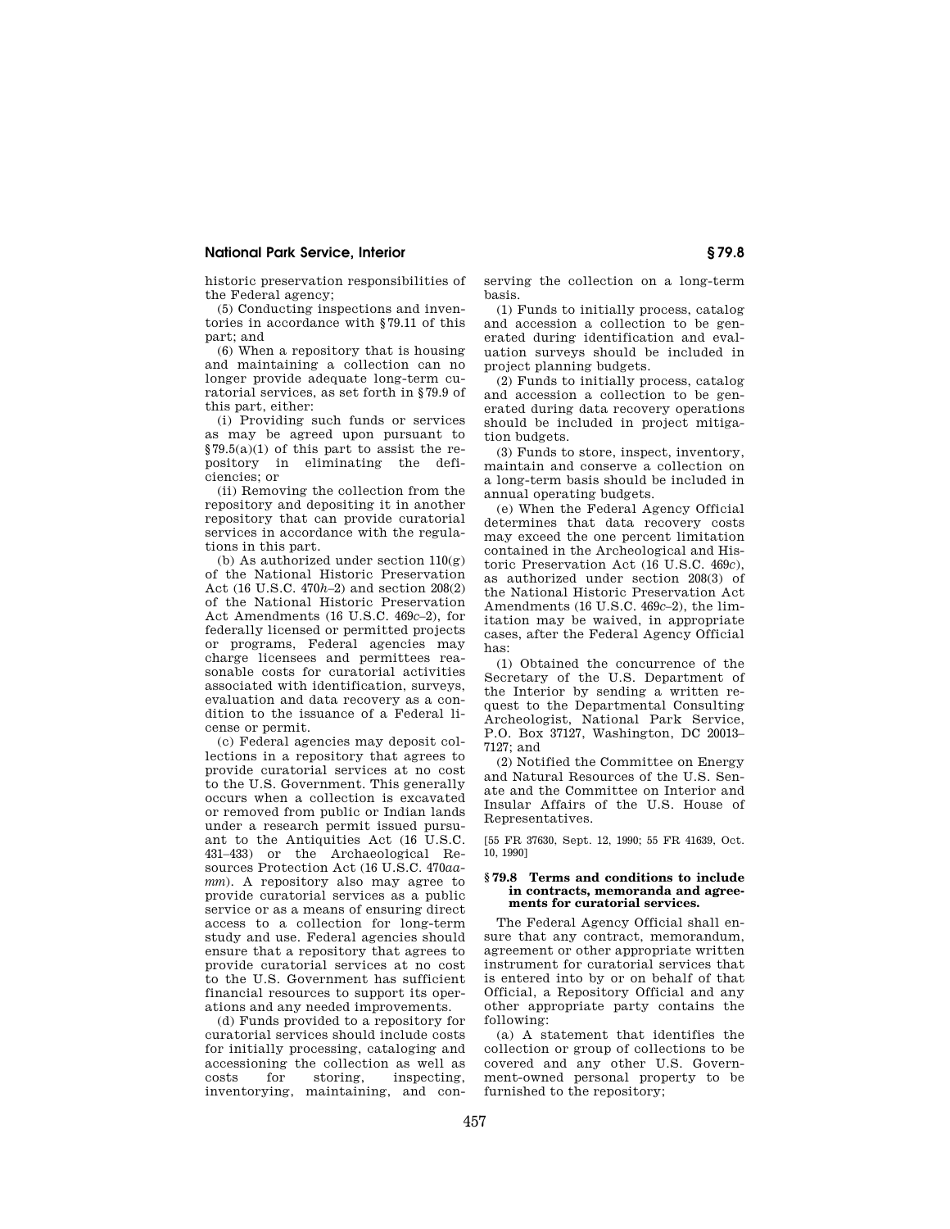historic preservation responsibilities of the Federal agency;

(5) Conducting inspections and inventories in accordance with §79.11 of this part; and

(6) When a repository that is housing and maintaining a collection can no longer provide adequate long-term curatorial services, as set forth in §79.9 of this part, either:

(i) Providing such funds or services as may be agreed upon pursuant to  $\S 79.5(a)(1)$  of this part to assist the repository in eliminating the deficiencies; or

(ii) Removing the collection from the repository and depositing it in another repository that can provide curatorial services in accordance with the regulations in this part.

(b) As authorized under section  $110(g)$ of the National Historic Preservation Act (16 U.S.C. 470*h*–2) and section 208(2) of the National Historic Preservation Act Amendments (16 U.S.C. 469*c*–2), for federally licensed or permitted projects or programs, Federal agencies may charge licensees and permittees reasonable costs for curatorial activities associated with identification, surveys, evaluation and data recovery as a condition to the issuance of a Federal license or permit.

(c) Federal agencies may deposit collections in a repository that agrees to provide curatorial services at no cost to the U.S. Government. This generally occurs when a collection is excavated or removed from public or Indian lands under a research permit issued pursuant to the Antiquities Act (16 U.S.C. 431–433) or the Archaeological Resources Protection Act (16 U.S.C. 470*aamm*). A repository also may agree to provide curatorial services as a public service or as a means of ensuring direct access to a collection for long-term study and use. Federal agencies should ensure that a repository that agrees to provide curatorial services at no cost to the U.S. Government has sufficient financial resources to support its operations and any needed improvements.

(d) Funds provided to a repository for curatorial services should include costs for initially processing, cataloging and accessioning the collection as well as costs for storing, inspecting, inventorying, maintaining, and conserving the collection on a long-term basis.

(1) Funds to initially process, catalog and accession a collection to be generated during identification and evaluation surveys should be included in project planning budgets.

(2) Funds to initially process, catalog and accession a collection to be generated during data recovery operations should be included in project mitigation budgets.

(3) Funds to store, inspect, inventory, maintain and conserve a collection on a long-term basis should be included in annual operating budgets.

(e) When the Federal Agency Official determines that data recovery costs may exceed the one percent limitation contained in the Archeological and Historic Preservation Act (16 U.S.C. 469*c*), as authorized under section 208(3) of the National Historic Preservation Act Amendments (16 U.S.C. 469*c*–2), the limitation may be waived, in appropriate cases, after the Federal Agency Official has:

(1) Obtained the concurrence of the Secretary of the U.S. Department of the Interior by sending a written request to the Departmental Consulting Archeologist, National Park Service, P.O. Box 37127, Washington, DC 20013– 7127; and

(2) Notified the Committee on Energy and Natural Resources of the U.S. Senate and the Committee on Interior and Insular Affairs of the U.S. House of Representatives.

[55 FR 37630, Sept. 12, 1990; 55 FR 41639, Oct. 10, 1990]

#### **§ 79.8 Terms and conditions to include in contracts, memoranda and agreements for curatorial services.**

The Federal Agency Official shall ensure that any contract, memorandum, agreement or other appropriate written instrument for curatorial services that is entered into by or on behalf of that Official, a Repository Official and any other appropriate party contains the following:

(a) A statement that identifies the collection or group of collections to be covered and any other U.S. Government-owned personal property to be furnished to the repository;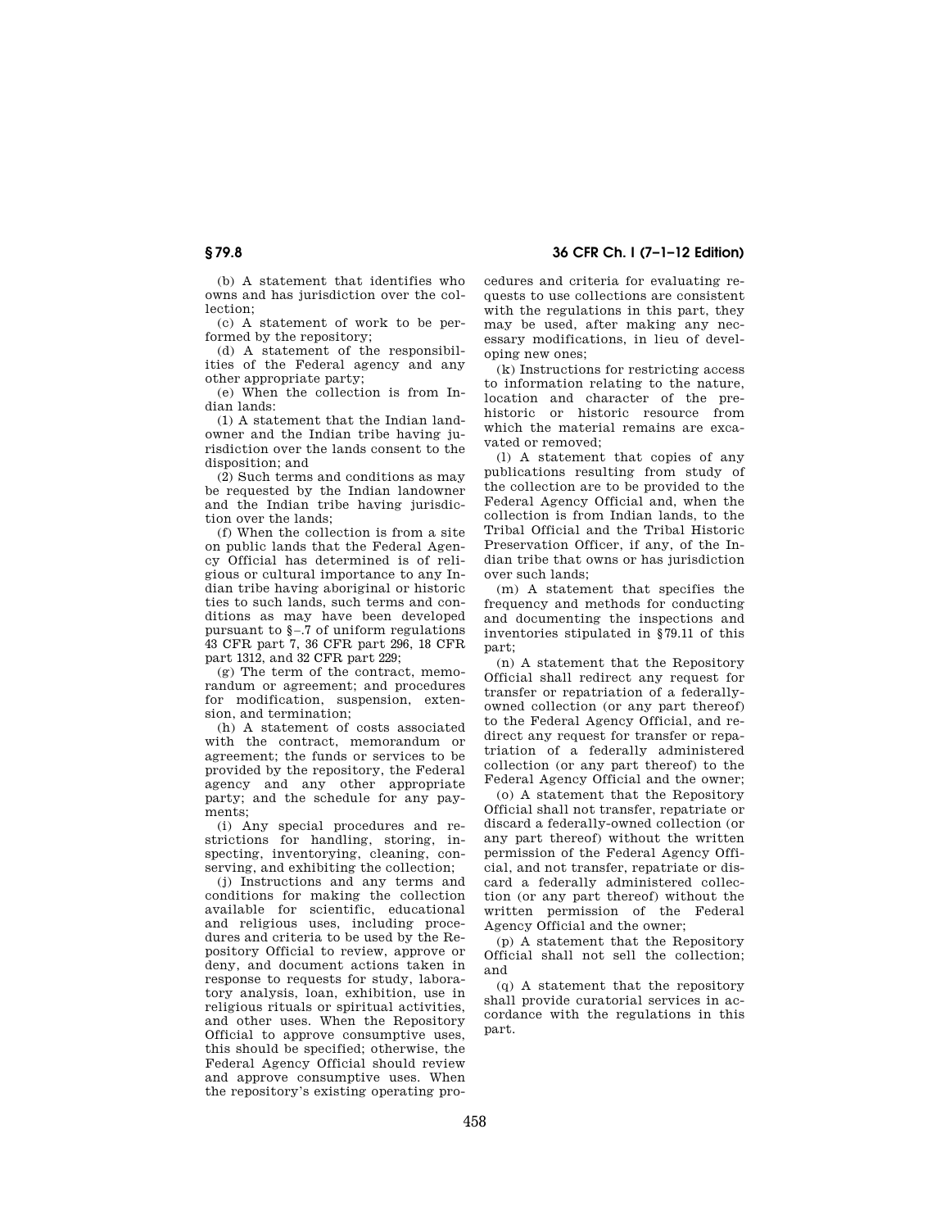**§ 79.8 36 CFR Ch. I (7–1–12 Edition)** 

(b) A statement that identifies who owns and has jurisdiction over the collection;

(c) A statement of work to be performed by the repository;

(d) A statement of the responsibilities of the Federal agency and any other appropriate party;

(e) When the collection is from Indian lands:

(1) A statement that the Indian landowner and the Indian tribe having jurisdiction over the lands consent to the disposition; and

(2) Such terms and conditions as may be requested by the Indian landowner and the Indian tribe having jurisdiction over the lands;

(f) When the collection is from a site on public lands that the Federal Agency Official has determined is of religious or cultural importance to any Indian tribe having aboriginal or historic ties to such lands, such terms and conditions as may have been developed pursuant to §–.7 of uniform regulations 43 CFR part 7, 36 CFR part 296, 18 CFR part 1312, and 32 CFR part 229;

(g) The term of the contract, memorandum or agreement; and procedures for modification, suspension, extension, and termination;

(h) A statement of costs associated with the contract, memorandum or agreement; the funds or services to be provided by the repository, the Federal agency and any other appropriate party; and the schedule for any payments;

(i) Any special procedures and restrictions for handling, storing, inspecting, inventorying, cleaning, conserving, and exhibiting the collection;

(j) Instructions and any terms and conditions for making the collection available for scientific, educational and religious uses, including procedures and criteria to be used by the Repository Official to review, approve or deny, and document actions taken in response to requests for study, laboratory analysis, loan, exhibition, use in religious rituals or spiritual activities, and other uses. When the Repository Official to approve consumptive uses, this should be specified; otherwise, the Federal Agency Official should review and approve consumptive uses. When the repository's existing operating procedures and criteria for evaluating requests to use collections are consistent with the regulations in this part, they may be used, after making any necessary modifications, in lieu of developing new ones;

(k) Instructions for restricting access to information relating to the nature, location and character of the prehistoric or historic resource from which the material remains are excavated or removed;

(l) A statement that copies of any publications resulting from study of the collection are to be provided to the Federal Agency Official and, when the collection is from Indian lands, to the Tribal Official and the Tribal Historic Preservation Officer, if any, of the Indian tribe that owns or has jurisdiction over such lands;

(m) A statement that specifies the frequency and methods for conducting and documenting the inspections and inventories stipulated in §79.11 of this part;

(n) A statement that the Repository Official shall redirect any request for transfer or repatriation of a federallyowned collection (or any part thereof) to the Federal Agency Official, and redirect any request for transfer or repatriation of a federally administered collection (or any part thereof) to the Federal Agency Official and the owner;

(o) A statement that the Repository Official shall not transfer, repatriate or discard a federally-owned collection (or any part thereof) without the written permission of the Federal Agency Official, and not transfer, repatriate or discard a federally administered collection (or any part thereof) without the written permission of the Federal Agency Official and the owner;

(p) A statement that the Repository Official shall not sell the collection; and

(q) A statement that the repository shall provide curatorial services in accordance with the regulations in this part.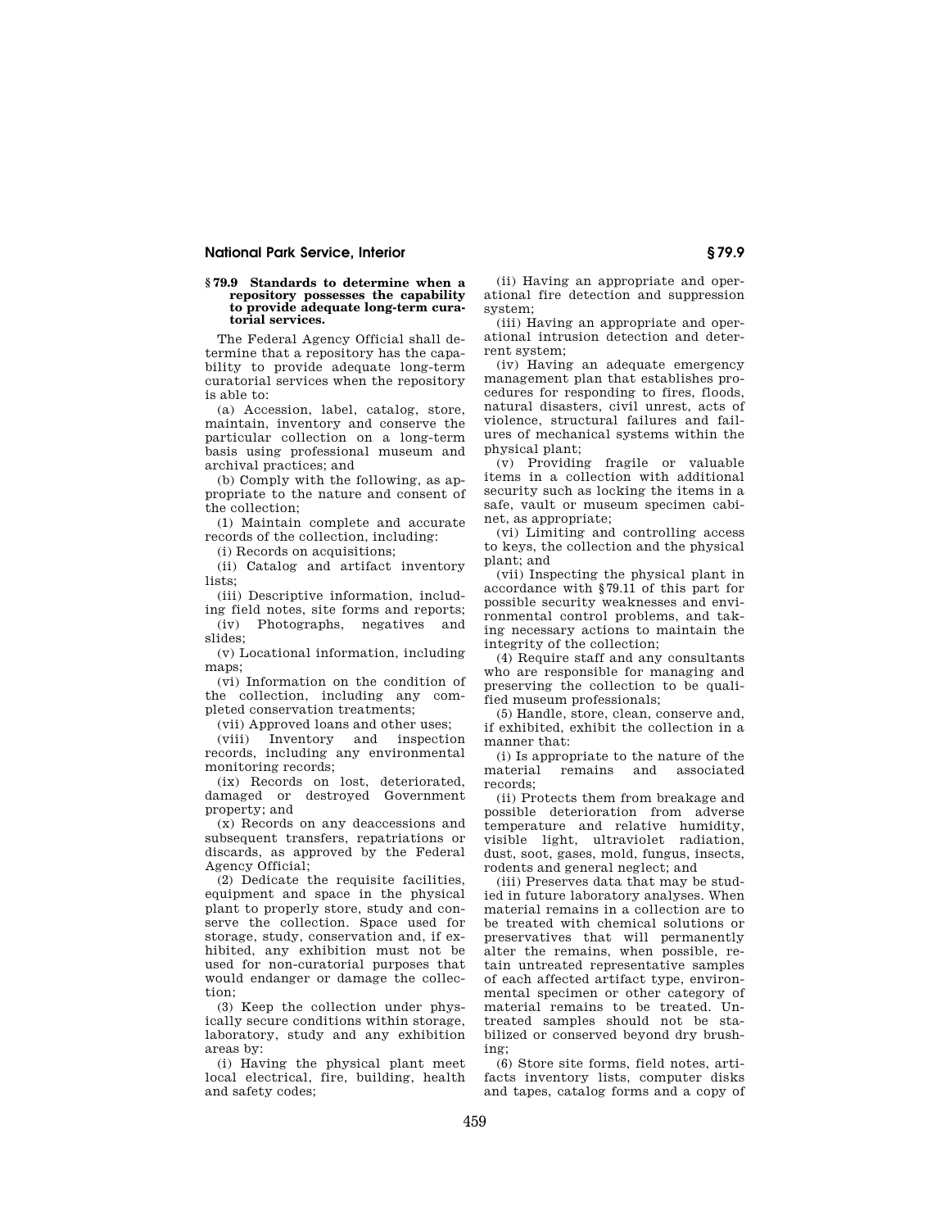#### **§ 79.9 Standards to determine when a repository possesses the capability to provide adequate long-term curatorial services.**

The Federal Agency Official shall determine that a repository has the capability to provide adequate long-term curatorial services when the repository is able to:

(a) Accession, label, catalog, store, maintain, inventory and conserve the particular collection on a long-term basis using professional museum and archival practices; and

(b) Comply with the following, as appropriate to the nature and consent of the collection;

(1) Maintain complete and accurate records of the collection, including:

(i) Records on acquisitions;

(ii) Catalog and artifact inventory lists;

(iii) Descriptive information, including field notes, site forms and reports;

(iv) Photographs, negatives and slides;

(v) Locational information, including maps;

(vi) Information on the condition of the collection, including any completed conservation treatments;

(vii) Approved loans and other uses;

(viii) Inventory and inspection records, including any environmental monitoring records;

(ix) Records on lost, deteriorated, damaged or destroyed Government property; and

(x) Records on any deaccessions and subsequent transfers, repatriations or discards, as approved by the Federal Agency Official;

(2) Dedicate the requisite facilities, equipment and space in the physical plant to properly store, study and conserve the collection. Space used for storage, study, conservation and, if exhibited, any exhibition must not be used for non-curatorial purposes that would endanger or damage the collection;

(3) Keep the collection under physically secure conditions within storage, laboratory, study and any exhibition areas by:

(i) Having the physical plant meet local electrical, fire, building, health and safety codes;

(ii) Having an appropriate and operational fire detection and suppression system;

(iii) Having an appropriate and operational intrusion detection and deterrent system;

(iv) Having an adequate emergency management plan that establishes procedures for responding to fires, floods, natural disasters, civil unrest, acts of violence, structural failures and failures of mechanical systems within the physical plant;

(v) Providing fragile or valuable items in a collection with additional security such as locking the items in a safe, vault or museum specimen cabinet, as appropriate;

(vi) Limiting and controlling access to keys, the collection and the physical plant; and

(vii) Inspecting the physical plant in accordance with §79.11 of this part for possible security weaknesses and environmental control problems, and taking necessary actions to maintain the integrity of the collection;

(4) Require staff and any consultants who are responsible for managing and preserving the collection to be qualified museum professionals;

(5) Handle, store, clean, conserve and, if exhibited, exhibit the collection in a manner that:

(i) Is appropriate to the nature of the material remains and associated records;

(ii) Protects them from breakage and possible deterioration from adverse temperature and relative humidity, visible light, ultraviolet radiation, dust, soot, gases, mold, fungus, insects, rodents and general neglect; and

(iii) Preserves data that may be studied in future laboratory analyses. When material remains in a collection are to be treated with chemical solutions or preservatives that will permanently alter the remains, when possible, retain untreated representative samples of each affected artifact type, environmental specimen or other category of material remains to be treated. Untreated samples should not be stabilized or conserved beyond dry brushing;

(6) Store site forms, field notes, artifacts inventory lists, computer disks and tapes, catalog forms and a copy of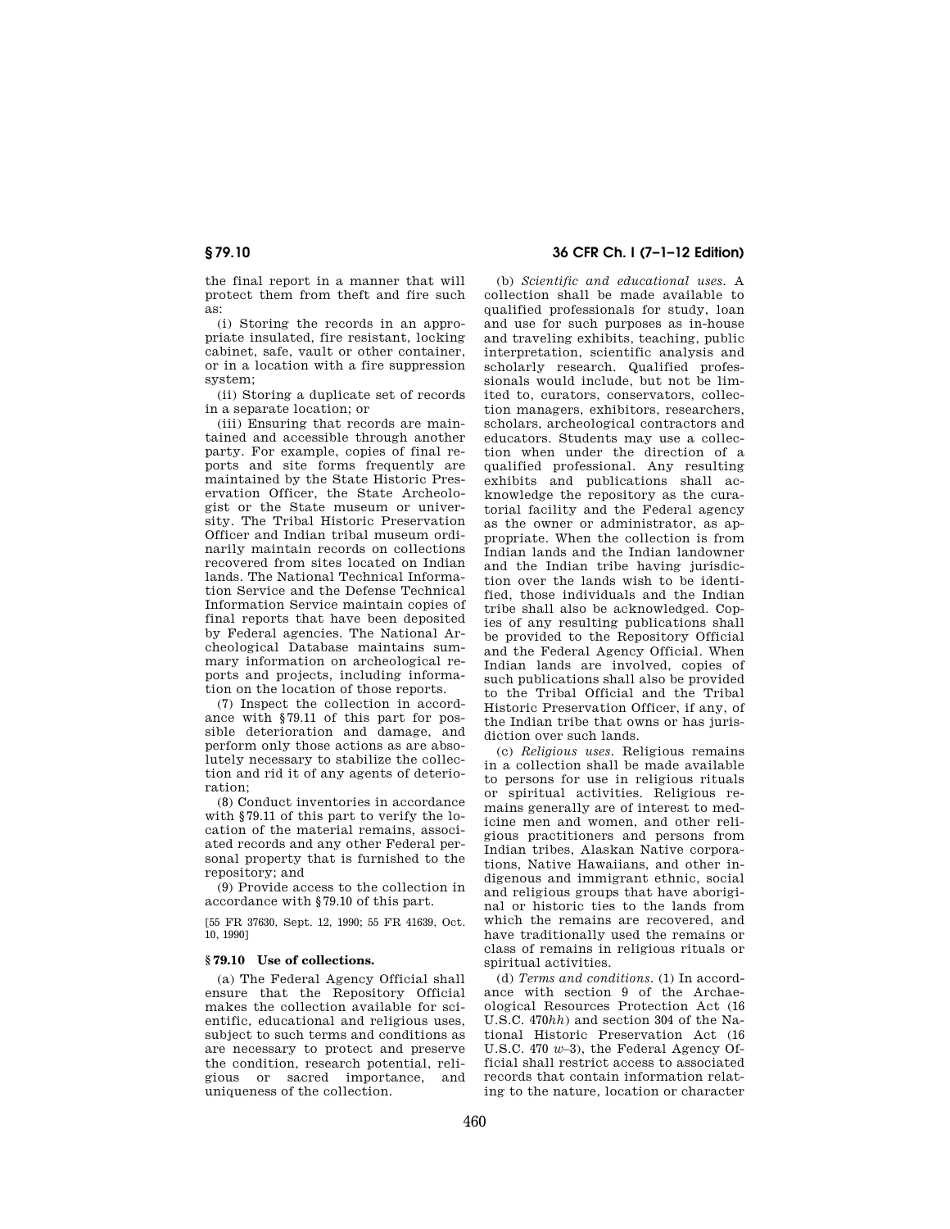the final report in a manner that will protect them from theft and fire such as:

(i) Storing the records in an appropriate insulated, fire resistant, locking cabinet, safe, vault or other container, or in a location with a fire suppression system;

(ii) Storing a duplicate set of records in a separate location; or

(iii) Ensuring that records are maintained and accessible through another party. For example, copies of final reports and site forms frequently are maintained by the State Historic Preservation Officer, the State Archeologist or the State museum or university. The Tribal Historic Preservation Officer and Indian tribal museum ordinarily maintain records on collections recovered from sites located on Indian lands. The National Technical Information Service and the Defense Technical Information Service maintain copies of final reports that have been deposited by Federal agencies. The National Archeological Database maintains summary information on archeological reports and projects, including information on the location of those reports.

(7) Inspect the collection in accordance with §79.11 of this part for possible deterioration and damage, and perform only those actions as are absolutely necessary to stabilize the collection and rid it of any agents of deterioration;

(8) Conduct inventories in accordance with §79.11 of this part to verify the location of the material remains, associated records and any other Federal personal property that is furnished to the repository; and

(9) Provide access to the collection in accordance with §79.10 of this part.

[55 FR 37630, Sept. 12, 1990; 55 FR 41639, Oct. 10, 1990]

# **§ 79.10 Use of collections.**

(a) The Federal Agency Official shall ensure that the Repository Official makes the collection available for scientific, educational and religious uses, subject to such terms and conditions as are necessary to protect and preserve the condition, research potential, religious or sacred importance, and uniqueness of the collection.

# **§ 79.10 36 CFR Ch. I (7–1–12 Edition)**

(b) *Scientific and educational uses.* A collection shall be made available to qualified professionals for study, loan and use for such purposes as in-house and traveling exhibits, teaching, public interpretation, scientific analysis and scholarly research. Qualified professionals would include, but not be limited to, curators, conservators, collection managers, exhibitors, researchers, scholars, archeological contractors and educators. Students may use a collection when under the direction of a qualified professional. Any resulting exhibits and publications shall acknowledge the repository as the curatorial facility and the Federal agency as the owner or administrator, as appropriate. When the collection is from Indian lands and the Indian landowner and the Indian tribe having jurisdiction over the lands wish to be identified, those individuals and the Indian tribe shall also be acknowledged. Copies of any resulting publications shall be provided to the Repository Official and the Federal Agency Official. When Indian lands are involved, copies of such publications shall also be provided to the Tribal Official and the Tribal Historic Preservation Officer, if any, of the Indian tribe that owns or has jurisdiction over such lands.

(c) *Religious uses.* Religious remains in a collection shall be made available to persons for use in religious rituals or spiritual activities. Religious remains generally are of interest to medicine men and women, and other religious practitioners and persons from Indian tribes, Alaskan Native corporations, Native Hawaiians, and other indigenous and immigrant ethnic, social and religious groups that have aboriginal or historic ties to the lands from which the remains are recovered, and have traditionally used the remains or class of remains in religious rituals or spiritual activities.

(d) *Terms and conditions.* (1) In accordance with section 9 of the Archaeological Resources Protection Act (16 U.S.C. 470*hh*) and section 304 of the National Historic Preservation Act (16 U.S.C. 470 *w*–3), the Federal Agency Official shall restrict access to associated records that contain information relating to the nature, location or character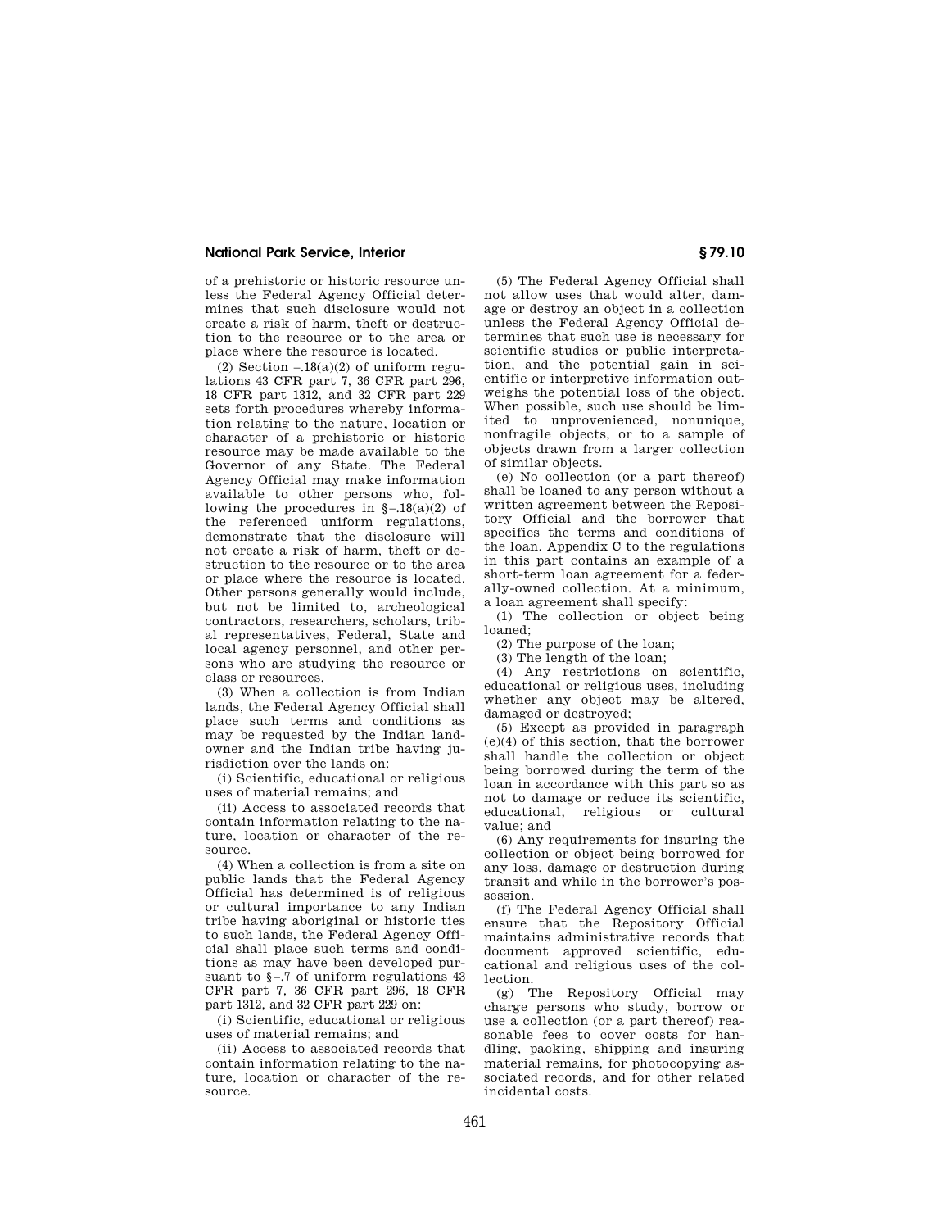of a prehistoric or historic resource unless the Federal Agency Official determines that such disclosure would not create a risk of harm, theft or destruction to the resource or to the area or place where the resource is located.

(2) Section  $-.18(a)(2)$  of uniform regulations 43 CFR part 7, 36 CFR part 296, 18 CFR part 1312, and 32 CFR part 229 sets forth procedures whereby information relating to the nature, location or character of a prehistoric or historic resource may be made available to the Governor of any State. The Federal Agency Official may make information available to other persons who, following the procedures in  $\S - 0.18(2)$  of the referenced uniform regulations, demonstrate that the disclosure will not create a risk of harm, theft or destruction to the resource or to the area or place where the resource is located. Other persons generally would include, but not be limited to, archeological contractors, researchers, scholars, tribal representatives, Federal, State and local agency personnel, and other persons who are studying the resource or class or resources.

(3) When a collection is from Indian lands, the Federal Agency Official shall place such terms and conditions as may be requested by the Indian landowner and the Indian tribe having jurisdiction over the lands on:

(i) Scientific, educational or religious uses of material remains; and

(ii) Access to associated records that contain information relating to the nature, location or character of the resource.

(4) When a collection is from a site on public lands that the Federal Agency Official has determined is of religious or cultural importance to any Indian tribe having aboriginal or historic ties to such lands, the Federal Agency Official shall place such terms and conditions as may have been developed pursuant to §–.7 of uniform regulations 43 CFR part 7, 36 CFR part 296, 18 CFR part 1312, and 32 CFR part 229 on:

(i) Scientific, educational or religious uses of material remains; and

(ii) Access to associated records that contain information relating to the nature, location or character of the resource.

(5) The Federal Agency Official shall not allow uses that would alter, damage or destroy an object in a collection unless the Federal Agency Official determines that such use is necessary for scientific studies or public interpretation, and the potential gain in scientific or interpretive information outweighs the potential loss of the object. When possible, such use should be limited to unprovenienced, nonunique, nonfragile objects, or to a sample of objects drawn from a larger collection of similar objects.

(e) No collection (or a part thereof) shall be loaned to any person without a written agreement between the Repository Official and the borrower that specifies the terms and conditions of the loan. Appendix C to the regulations in this part contains an example of a short-term loan agreement for a federally-owned collection. At a minimum, a loan agreement shall specify:

(1) The collection or object being loaned;

(2) The purpose of the loan;

(3) The length of the loan;

(4) Any restrictions on scientific, educational or religious uses, including whether any object may be altered, damaged or destroyed;

(5) Except as provided in paragraph (e)(4) of this section, that the borrower shall handle the collection or object being borrowed during the term of the loan in accordance with this part so as not to damage or reduce its scientific, educational, religious or cultural value; and

(6) Any requirements for insuring the collection or object being borrowed for any loss, damage or destruction during transit and while in the borrower's possession.

(f) The Federal Agency Official shall ensure that the Repository Official maintains administrative records that document approved scientific, educational and religious uses of the collection.

(g) The Repository Official may charge persons who study, borrow or use a collection (or a part thereof) reasonable fees to cover costs for handling, packing, shipping and insuring material remains, for photocopying associated records, and for other related incidental costs.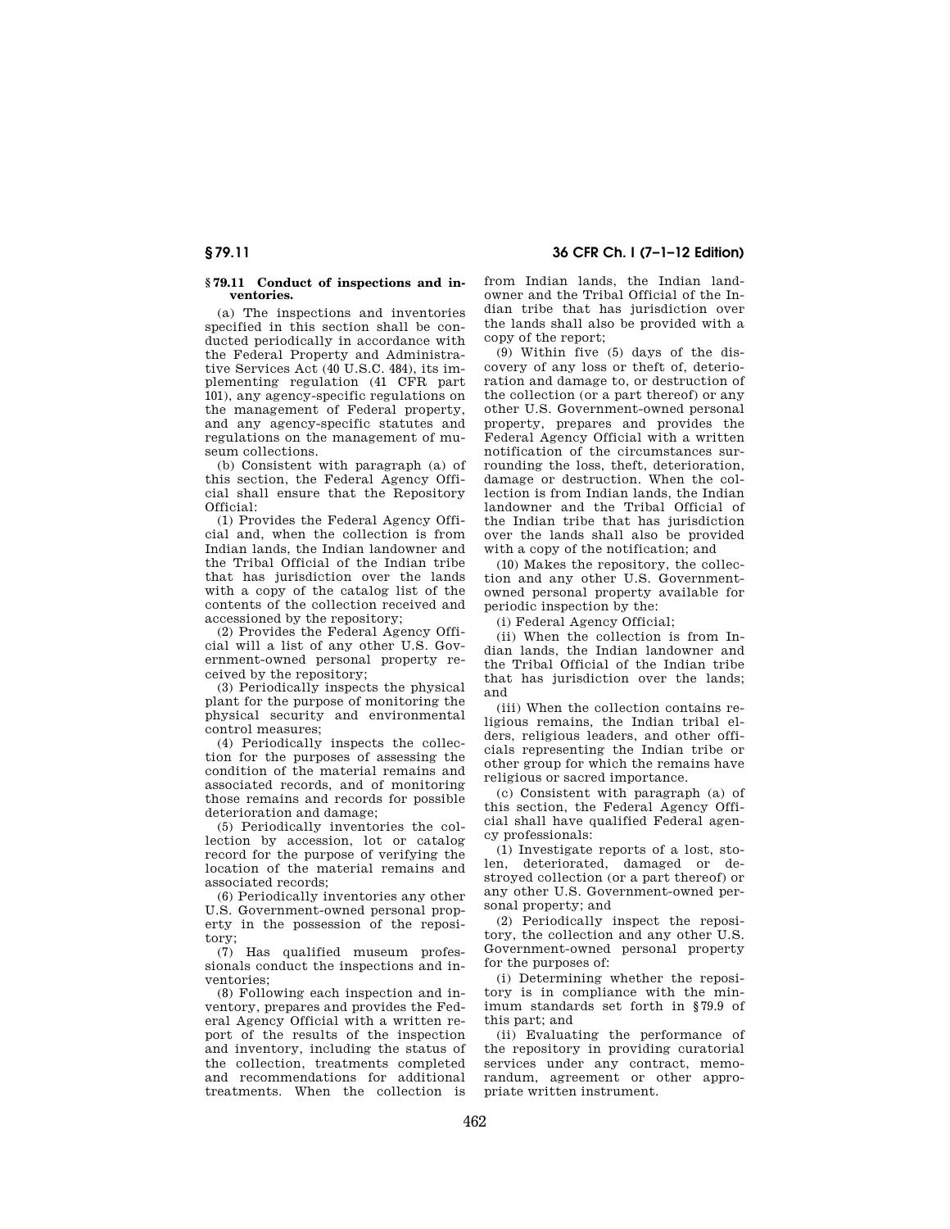# **§ 79.11 36 CFR Ch. I (7–1–12 Edition)**

#### **§ 79.11 Conduct of inspections and inventories.**

(a) The inspections and inventories specified in this section shall be conducted periodically in accordance with the Federal Property and Administrative Services Act (40 U.S.C. 484), its implementing regulation (41 CFR part 101), any agency-specific regulations on the management of Federal property, and any agency-specific statutes and regulations on the management of museum collections.

(b) Consistent with paragraph (a) of this section, the Federal Agency Official shall ensure that the Repository Official:

(1) Provides the Federal Agency Official and, when the collection is from Indian lands, the Indian landowner and the Tribal Official of the Indian tribe that has jurisdiction over the lands with a copy of the catalog list of the contents of the collection received and accessioned by the repository;

(2) Provides the Federal Agency Official will a list of any other U.S. Government-owned personal property received by the repository;

(3) Periodically inspects the physical plant for the purpose of monitoring the physical security and environmental control measures;

(4) Periodically inspects the collection for the purposes of assessing the condition of the material remains and associated records, and of monitoring those remains and records for possible deterioration and damage;

(5) Periodically inventories the collection by accession, lot or catalog record for the purpose of verifying the location of the material remains and associated records;

(6) Periodically inventories any other U.S. Government-owned personal property in the possession of the repository;

(7) Has qualified museum professionals conduct the inspections and inventories;

(8) Following each inspection and inventory, prepares and provides the Federal Agency Official with a written report of the results of the inspection and inventory, including the status of the collection, treatments completed and recommendations for additional treatments. When the collection is from Indian lands, the Indian landowner and the Tribal Official of the Indian tribe that has jurisdiction over the lands shall also be provided with a copy of the report;

(9) Within five (5) days of the discovery of any loss or theft of, deterioration and damage to, or destruction of the collection (or a part thereof) or any other U.S. Government-owned personal property, prepares and provides the Federal Agency Official with a written notification of the circumstances surrounding the loss, theft, deterioration, damage or destruction. When the collection is from Indian lands, the Indian landowner and the Tribal Official of the Indian tribe that has jurisdiction over the lands shall also be provided with a copy of the notification; and

(10) Makes the repository, the collection and any other U.S. Governmentowned personal property available for periodic inspection by the:

(i) Federal Agency Official;

(ii) When the collection is from Indian lands, the Indian landowner and the Tribal Official of the Indian tribe that has jurisdiction over the lands; and

(iii) When the collection contains religious remains, the Indian tribal elders, religious leaders, and other officials representing the Indian tribe or other group for which the remains have religious or sacred importance.

(c) Consistent with paragraph (a) of this section, the Federal Agency Official shall have qualified Federal agency professionals:

(1) Investigate reports of a lost, stolen, deteriorated, damaged or destroyed collection (or a part thereof) or any other U.S. Government-owned personal property; and

(2) Periodically inspect the repository, the collection and any other U.S. Government-owned personal property for the purposes of:

(i) Determining whether the repository is in compliance with the minimum standards set forth in §79.9 of this part; and

(ii) Evaluating the performance of the repository in providing curatorial services under any contract, memorandum, agreement or other appropriate written instrument.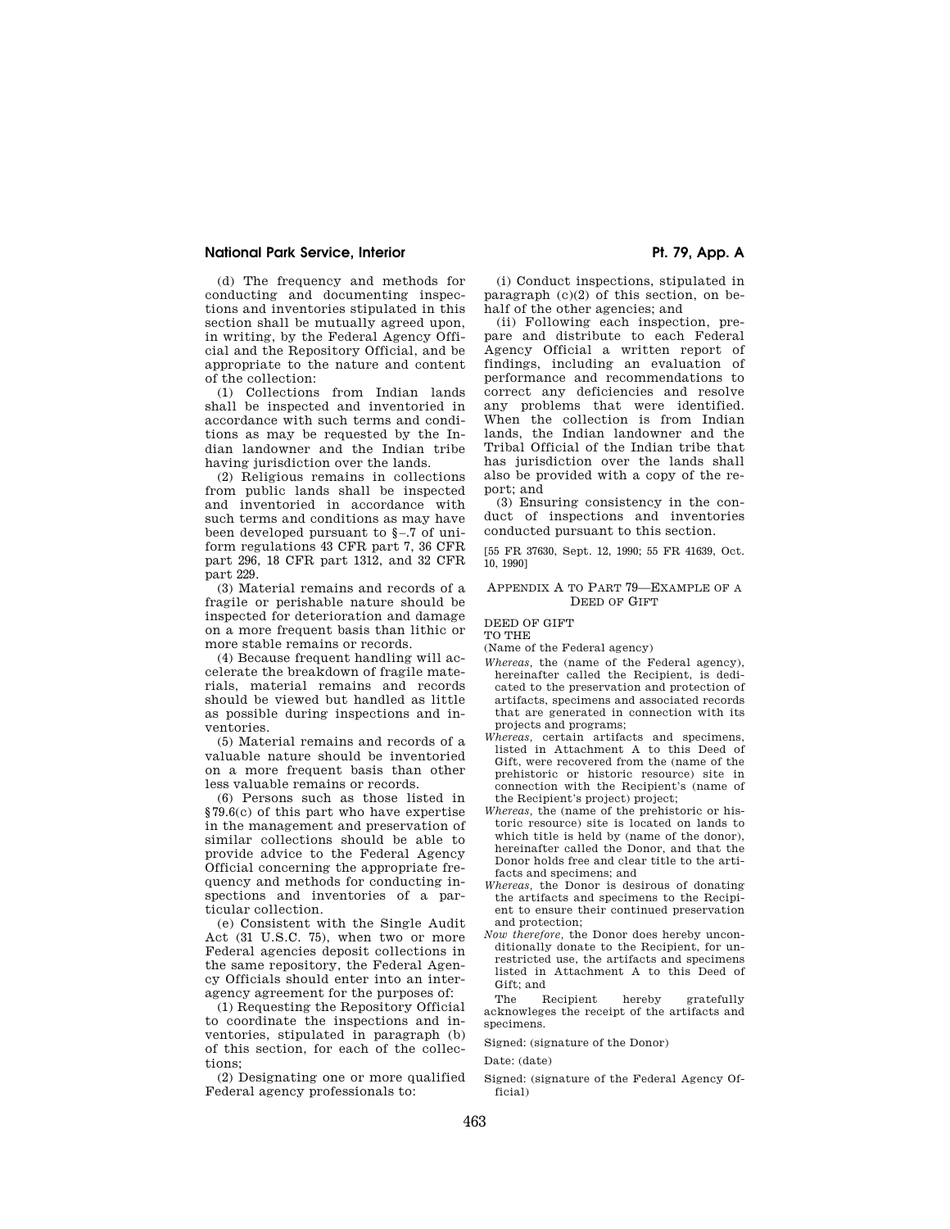## National Park Service, Interior **Pricess Pt. 79, App. A**

(d) The frequency and methods for conducting and documenting inspections and inventories stipulated in this section shall be mutually agreed upon, in writing, by the Federal Agency Official and the Repository Official, and be appropriate to the nature and content of the collection:

(1) Collections from Indian lands shall be inspected and inventoried in accordance with such terms and conditions as may be requested by the Indian landowner and the Indian tribe having jurisdiction over the lands.

(2) Religious remains in collections from public lands shall be inspected and inventoried in accordance with such terms and conditions as may have been developed pursuant to §–.7 of uniform regulations 43 CFR part 7, 36 CFR part 296, 18 CFR part 1312, and 32 CFR part 229.

(3) Material remains and records of a fragile or perishable nature should be inspected for deterioration and damage on a more frequent basis than lithic or more stable remains or records.

(4) Because frequent handling will accelerate the breakdown of fragile materials, material remains and records should be viewed but handled as little as possible during inspections and inventories.

(5) Material remains and records of a valuable nature should be inventoried on a more frequent basis than other less valuable remains or records.

(6) Persons such as those listed in §79.6(c) of this part who have expertise in the management and preservation of similar collections should be able to provide advice to the Federal Agency Official concerning the appropriate frequency and methods for conducting inspections and inventories of a particular collection.

(e) Consistent with the Single Audit Act (31 U.S.C. 75), when two or more Federal agencies deposit collections in the same repository, the Federal Agency Officials should enter into an interagency agreement for the purposes of:

(1) Requesting the Repository Official to coordinate the inspections and inventories, stipulated in paragraph (b) of this section, for each of the collections;

(2) Designating one or more qualified Federal agency professionals to:

(i) Conduct inspections, stipulated in paragraph  $(c)(2)$  of this section, on behalf of the other agencies; and

(ii) Following each inspection, prepare and distribute to each Federal Agency Official a written report of findings, including an evaluation of performance and recommendations to correct any deficiencies and resolve any problems that were identified. When the collection is from Indian lands, the Indian landowner and the Tribal Official of the Indian tribe that has jurisdiction over the lands shall also be provided with a copy of the report; and

(3) Ensuring consistency in the conduct of inspections and inventories conducted pursuant to this section.

[55 FR 37630, Sept. 12, 1990; 55 FR 41639, Oct. 10, 1990]

#### APPENDIX A TO PART 79—EXAMPLE OF A DEED OF GIFT

DEED OF GIFT

TO THE (Name of the Federal agency)

- 
- *Whereas,* the (name of the Federal agency), hereinafter called the Recipient, is dedicated to the preservation and protection of artifacts, specimens and associated records that are generated in connection with its projects and programs;
- *Whereas,* certain artifacts and specimens, listed in Attachment A to this Deed of Gift, were recovered from the (name of the prehistoric or historic resource) site in connection with the Recipient's (name of the Recipient's project) project;
- *Whereas,* the (name of the prehistoric or historic resource) site is located on lands to which title is held by (name of the donor), hereinafter called the Donor, and that the Donor holds free and clear title to the artifacts and specimens; and
- *Whereas,* the Donor is desirous of donating the artifacts and specimens to the Recipient to ensure their continued preservation and protection;
- *Now therefore,* the Donor does hereby unconditionally donate to the Recipient, for unrestricted use, the artifacts and specimens listed in Attachment A to this Deed of Gift; and

The Recipient hereby gratefully acknowleges the receipt of the artifacts and specimens.

Signed: (signature of the Donor)

Date: (date)

Signed: (signature of the Federal Agency Official)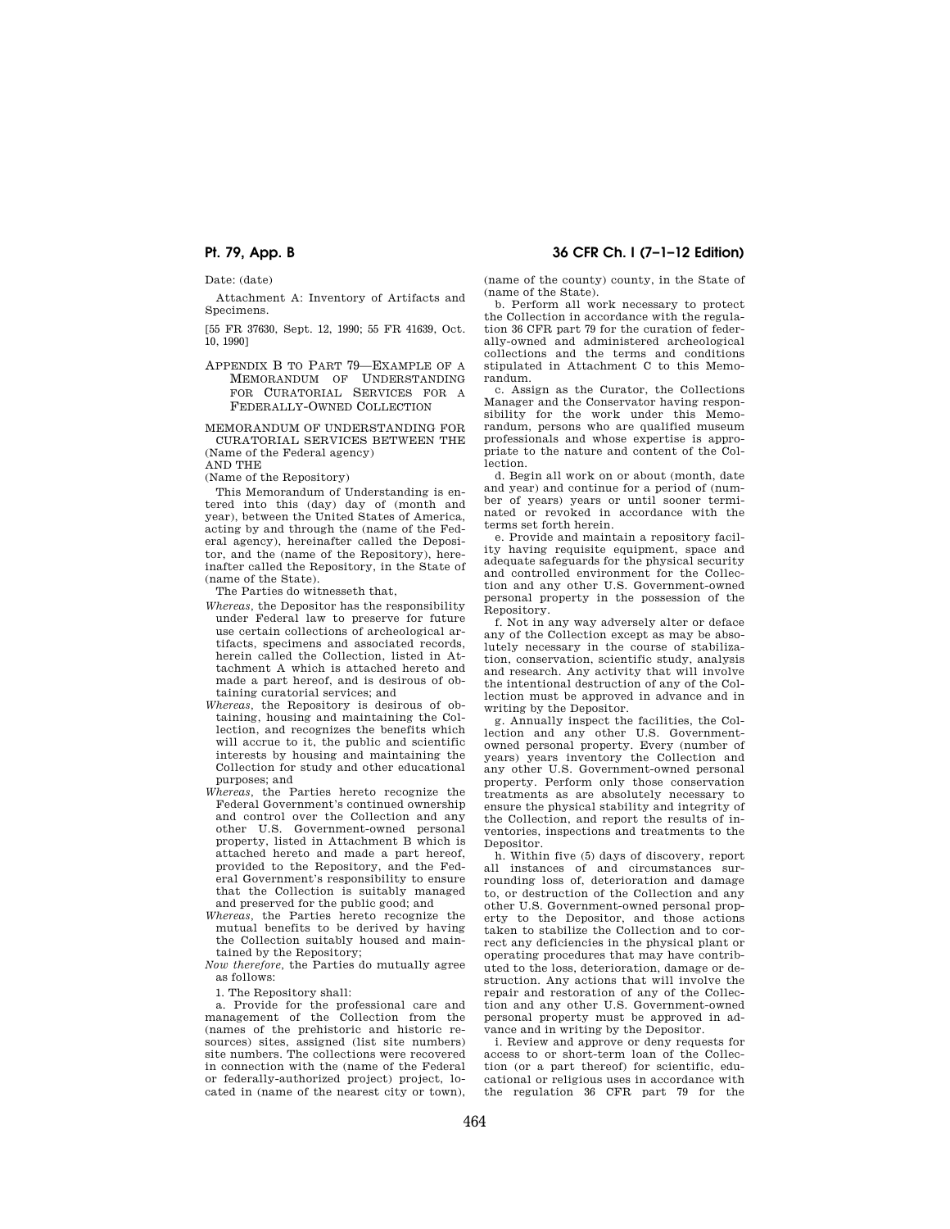Date: (date)

Attachment A: Inventory of Artifacts and Specimens.

[55 FR 37630, Sept. 12, 1990; 55 FR 41639, Oct. 10, 1990]

APPENDIX B TO PART 79—EXAMPLE OF A MEMORANDUM OF UNDERSTANDING FOR CURATORIAL SERVICES FOR A FEDERALLY-OWNED COLLECTION

MEMORANDUM OF UNDERSTANDING FOR CURATORIAL SERVICES BETWEEN THE (Name of the Federal agency)

AND THE

(Name of the Repository)

This Memorandum of Understanding is entered into this (day) day of (month and year), between the United States of America, acting by and through the (name of the Federal agency), hereinafter called the Depositor, and the (name of the Repository), hereinafter called the Repository, in the State of (name of the State).

The Parties do witnesseth that,

- *Whereas,* the Depositor has the responsibility under Federal law to preserve for future use certain collections of archeological artifacts, specimens and associated records, herein called the Collection, listed in Attachment A which is attached hereto and made a part hereof, and is desirous of obtaining curatorial services; and
- *Whereas,* the Repository is desirous of obtaining, housing and maintaining the Collection, and recognizes the benefits which will accrue to it, the public and scientific interests by housing and maintaining the Collection for study and other educational purposes; and
- *Whereas,* the Parties hereto recognize the Federal Government's continued ownership and control over the Collection and any other U.S. Government-owned personal property, listed in Attachment B which is attached hereto and made a part hereof, provided to the Repository, and the Federal Government's responsibility to ensure that the Collection is suitably managed and preserved for the public good; and
- *Whereas,* the Parties hereto recognize the mutual benefits to be derived by having the Collection suitably housed and maintained by the Repository;
- *Now therefore,* the Parties do mutually agree as follows:

1. The Repository shall:

a. Provide for the professional care and management of the Collection from the (names of the prehistoric and historic resources) sites, assigned (list site numbers) site numbers. The collections were recovered in connection with the (name of the Federal or federally-authorized project) project, located in (name of the nearest city or town),

# **Pt. 79, App. B 36 CFR Ch. I (7–1–12 Edition)**

(name of the county) county, in the State of (name of the State).

b. Perform all work necessary to protect the Collection in accordance with the regulation 36 CFR part 79 for the curation of federally-owned and administered archeological collections and the terms and conditions stipulated in Attachment C to this Memorandum.

c. Assign as the Curator, the Collections Manager and the Conservator having responsibility for the work under this Memorandum, persons who are qualified museum professionals and whose expertise is appropriate to the nature and content of the Collection.

d. Begin all work on or about (month, date and year) and continue for a period of (number of years) years or until sooner terminated or revoked in accordance with the terms set forth herein.

e. Provide and maintain a repository facility having requisite equipment, space and adequate safeguards for the physical security and controlled environment for the Collection and any other U.S. Government-owned personal property in the possession of the Repository.

f. Not in any way adversely alter or deface any of the Collection except as may be absolutely necessary in the course of stabilization, conservation, scientific study, analysis and research. Any activity that will involve the intentional destruction of any of the Collection must be approved in advance and in writing by the Depositor.

g. Annually inspect the facilities, the Collection and any other U.S. Governmentowned personal property. Every (number of years) years inventory the Collection and any other U.S. Government-owned personal property. Perform only those conservation treatments as are absolutely necessary to ensure the physical stability and integrity of the Collection, and report the results of inventories, inspections and treatments to the Depositor.

h. Within five (5) days of discovery, report all instances of and circumstances surrounding loss of, deterioration and damage to, or destruction of the Collection and any other U.S. Government-owned personal property to the Depositor, and those actions taken to stabilize the Collection and to correct any deficiencies in the physical plant or operating procedures that may have contributed to the loss, deterioration, damage or destruction. Any actions that will involve the repair and restoration of any of the Collection and any other U.S. Government-owned personal property must be approved in advance and in writing by the Depositor.

i. Review and approve or deny requests for access to or short-term loan of the Collection (or a part thereof) for scientific, educational or religious uses in accordance with the regulation 36 CFR part 79 for the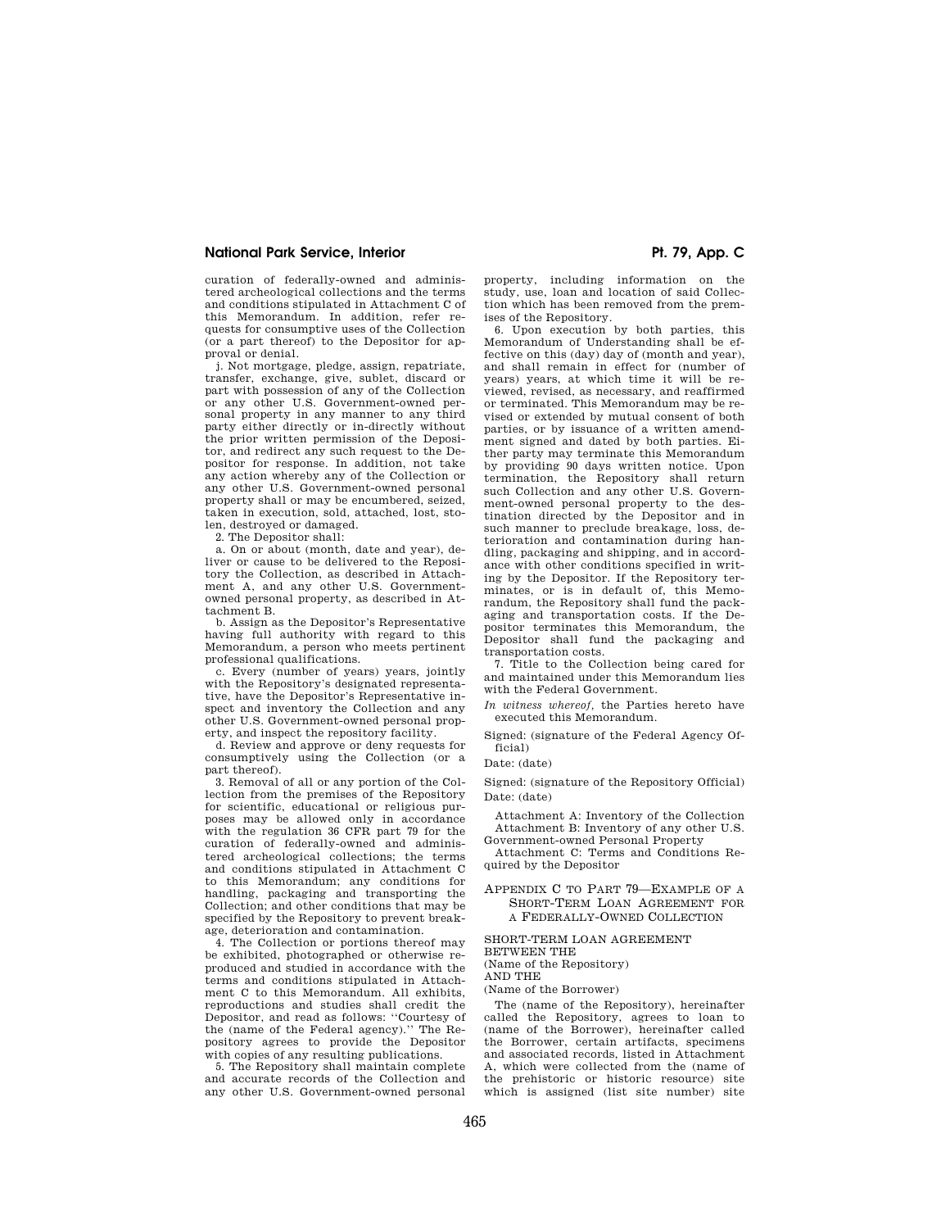## National Park Service, Interior **Pricess Pt. 79, App. C Pt. 79, App. C**

curation of federally-owned and administered archeological collections and the terms and conditions stipulated in Attachment C of this Memorandum. In addition, refer requests for consumptive uses of the Collection (or a part thereof) to the Depositor for approval or denial.

j. Not mortgage, pledge, assign, repatriate, transfer, exchange, give, sublet, discard or part with possession of any of the Collection or any other U.S. Government-owned personal property in any manner to any third party either directly or in-directly without the prior written permission of the Depositor, and redirect any such request to the Depositor for response. In addition, not take any action whereby any of the Collection or any other U.S. Government-owned personal property shall or may be encumbered, seized, taken in execution, sold, attached, lost, stolen, destroyed or damaged.

2. The Depositor shall:

a. On or about (month, date and year), deliver or cause to be delivered to the Repository the Collection, as described in Attachment A, and any other U.S. Governmentowned personal property, as described in Attachment B.

b. Assign as the Depositor's Representative having full authority with regard to this Memorandum, a person who meets pertinent professional qualifications.

c. Every (number of years) years, jointly with the Repository's designated representative, have the Depositor's Representative inspect and inventory the Collection and any other U.S. Government-owned personal property, and inspect the repository facility.

d. Review and approve or deny requests for consumptively using the Collection (or a part thereof).

3. Removal of all or any portion of the Collection from the premises of the Repository for scientific, educational or religious purposes may be allowed only in accordance with the regulation 36 CFR part 79 for the curation of federally-owned and administered archeological collections; the terms and conditions stipulated in Attachment C to this Memorandum; any conditions for handling, packaging and transporting the Collection; and other conditions that may be specified by the Repository to prevent breakage, deterioration and contamination.

4. The Collection or portions thereof may be exhibited, photographed or otherwise reproduced and studied in accordance with the terms and conditions stipulated in Attachment C to this Memorandum. All exhibits, reproductions and studies shall credit the Depositor, and read as follows: ''Courtesy of the (name of the Federal agency).'' The Repository agrees to provide the Depositor with copies of any resulting publications.

5. The Repository shall maintain complete and accurate records of the Collection and any other U.S. Government-owned personal property, including information on the study, use, loan and location of said Collection which has been removed from the premises of the Repository.

6. Upon execution by both parties, this Memorandum of Understanding shall be effective on this (day) day of (month and year), and shall remain in effect for (number of years) years, at which time it will be reviewed, revised, as necessary, and reaffirmed or terminated. This Memorandum may be revised or extended by mutual consent of both parties, or by issuance of a written amendment signed and dated by both parties. Either party may terminate this Memorandum by providing 90 days written notice. Upon termination, the Repository shall return such Collection and any other U.S. Government-owned personal property to the destination directed by the Depositor and in such manner to preclude breakage, loss, deterioration and contamination during handling, packaging and shipping, and in accordance with other conditions specified in writing by the Depositor. If the Repository terminates, or is in default of, this Memorandum, the Repository shall fund the packaging and transportation costs. If the Depositor terminates this Memorandum, the Depositor shall fund the packaging and transportation costs.

7. Title to the Collection being cared for and maintained under this Memorandum lies with the Federal Government.

*In witness whereof,* the Parties hereto have executed this Memorandum.

Signed: (signature of the Federal Agency Official)

Date: (date)

Signed: (signature of the Repository Official) Date: (date)

Attachment A: Inventory of the Collection Attachment B: Inventory of any other U.S. Government-owned Personal Property

Attachment C: Terms and Conditions Required by the Depositor

APPENDIX C TO PART 79—EXAMPLE OF A SHORT-TERM LOAN AGREEMENT FOR A FEDERALLY-OWNED COLLECTION

SHORT-TERM LOAN AGREEMENT

BETWEEN THE

(Name of the Repository)

AND THE (Name of the Borrower)

The (name of the Repository), hereinafter called the Repository, agrees to loan to (name of the Borrower), hereinafter called the Borrower, certain artifacts, specimens and associated records, listed in Attachment A, which were collected from the (name of the prehistoric or historic resource) site which is assigned (list site number) site